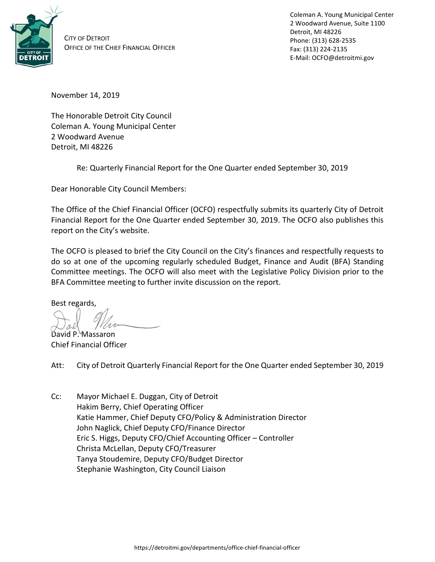

CITY OF DETROIT OFFICE OF THE CHIEF FINANCIAL OFFICER Coleman A. Young Municipal Center 2 Woodward Avenue, Suite 1100 Detroit, MI 48226 Phone: (313) 628-2535 Fax: (313) 224-2135 E-Mail: OCFO@detroitmi.gov

November 14, 2019

The Honorable Detroit City Council Coleman A. Young Municipal Center 2 Woodward Avenue Detroit, MI 48226

Re: Quarterly Financial Report for the One Quarter ended September 30, 2019

Dear Honorable City Council Members:

The Office of the Chief Financial Officer (OCFO) respectfully submits its quarterly City of Detroit Financial Report for the One Quarter ended September 30, 2019. The OCFO also publishes this report on the City's website.

The OCFO is pleased to brief the City Council on the City's finances and respectfully requests to do so at one of the upcoming regularly scheduled Budget, Finance and Audit (BFA) Standing Committee meetings. The OCFO will also meet with the Legislative Policy Division prior to the BFA Committee meeting to further invite discussion on the report.

Best regards,

David P. Massaron

Chief Financial Officer

Att: City of Detroit Quarterly Financial Report for the One Quarter ended September 30, 2019

Cc: Mayor Michael E. Duggan, City of Detroit Hakim Berry, Chief Operating Officer Katie Hammer, Chief Deputy CFO/Policy & Administration Director John Naglick, Chief Deputy CFO/Finance Director Eric S. Higgs, Deputy CFO/Chief Accounting Officer – Controller Christa McLellan, Deputy CFO/Treasurer Tanya Stoudemire, Deputy CFO/Budget Director Stephanie Washington, City Council Liaison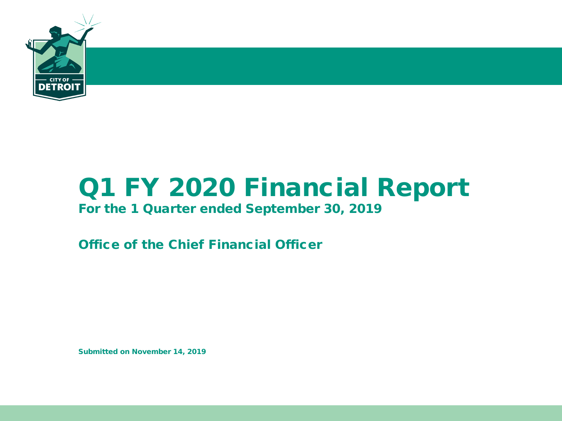

# Q1 FY 2020 Financial Report

### For the 1 Quarter ended September 30, 2019

Office of the Chief Financial Officer

Submitted on November 14, 2019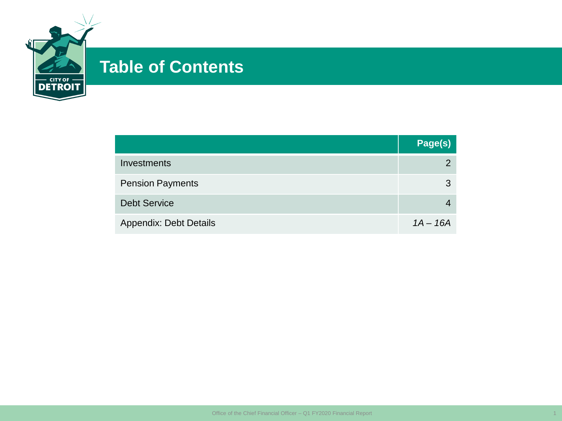

# **Table of Contents**

|                               | Page(s)    |
|-------------------------------|------------|
| Investments                   | 2.         |
| <b>Pension Payments</b>       | 3          |
| <b>Debt Service</b>           |            |
| <b>Appendix: Debt Details</b> | $1A - 16A$ |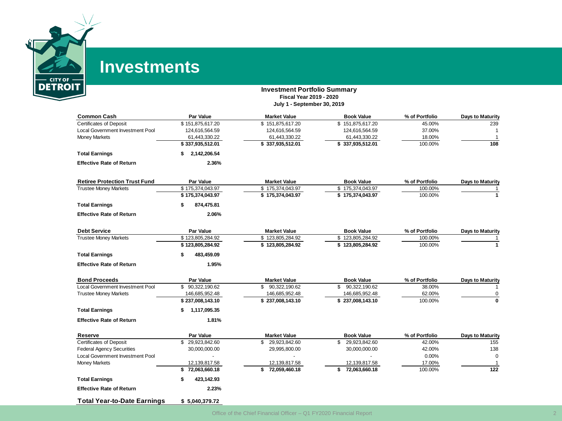

# **Investments**

#### **Investment Portfolio Summary Fiscal Year 2019 - 2020 July 1 - September 30, 2019**

| <b>Common Cash</b>                      | Par Value          | <b>Market Value</b> | <b>Book Value</b>   | % of Portfolio | <b>Days to Maturity</b> |
|-----------------------------------------|--------------------|---------------------|---------------------|----------------|-------------------------|
| <b>Certificates of Deposit</b>          | \$151,875,617.20   | \$151,875,617.20    | \$151,875,617.20    | 45.00%         | 239                     |
| <b>Local Government Investment Pool</b> | 124,616,564.59     | 124,616,564.59      | 124,616,564.59      | 37.00%         |                         |
| <b>Money Markets</b>                    | 61,443,330.22      | 61,443,330.22       | 61,443,330.22       | 18.00%         | $\mathbf 1$             |
|                                         | \$337,935,512.01   | \$337,935,512.01    | \$337,935,512.01    | 100.00%        | 108                     |
| <b>Total Earnings</b>                   | 2,142,206.54<br>\$ |                     |                     |                |                         |
| <b>Effective Rate of Return</b>         | 2.36%              |                     |                     |                |                         |
| <b>Retiree Protection Trust Fund</b>    | Par Value          | <b>Market Value</b> | <b>Book Value</b>   | % of Portfolio | Days to Maturity        |
| <b>Trustee Money Markets</b>            | \$175,374,043.97   | \$175,374,043.97    | \$175,374,043.97    | 100.00%        |                         |
|                                         | \$175,374,043.97   | \$175,374,043.97    | \$175,374,043.97    | 100.00%        | $\mathbf{1}$            |
| <b>Total Earnings</b>                   | 874,475.81         |                     |                     |                |                         |
| <b>Effective Rate of Return</b>         | 2.06%              |                     |                     |                |                         |
| <b>Debt Service</b>                     | <b>Par Value</b>   | <b>Market Value</b> | <b>Book Value</b>   | % of Portfolio | <b>Days to Maturity</b> |
| <b>Trustee Money Markets</b>            | \$123,805,284.92   | \$123,805,284.92    | \$123,805,284.92    | 100.00%        |                         |
|                                         | \$123,805,284.92   | \$123,805,284.92    | \$123,805,284.92    | 100.00%        | 1                       |
| <b>Total Earnings</b>                   | 483,459.09         |                     |                     |                |                         |
| <b>Effective Rate of Return</b>         | 1.95%              |                     |                     |                |                         |
| <b>Bond Proceeds</b>                    | <b>Par Value</b>   | <b>Market Value</b> | <b>Book Value</b>   | % of Portfolio | <b>Days to Maturity</b> |
| <b>Local Government Investment Pool</b> | \$90.322.190.62    | 90,322,190.62<br>\$ | 90,322,190.62<br>\$ | 38.00%         |                         |
| <b>Trustee Money Markets</b>            | 146,685,952.48     | 146,685,952.48      | 146,685,952.48      | 62.00%         | 0                       |
|                                         | \$237,008,143.10   | \$237,008,143.10    | \$237,008,143.10    | 100.00%        | $\bf{0}$                |
| <b>Total Earnings</b>                   | 1,117,095.35<br>s. |                     |                     |                |                         |
| <b>Effective Rate of Return</b>         | 1.81%              |                     |                     |                |                         |
| Reserve                                 | Par Value          | <b>Market Value</b> | <b>Book Value</b>   | % of Portfolio | <b>Days to Maturity</b> |
| <b>Certificates of Deposit</b>          | \$29,923,842.60    | 29,923,842.60<br>\$ | 29,923,842.60<br>\$ | 42.00%         | 155                     |
| <b>Federal Agency Securities</b>        | 30,000,000.00      | 29,995,800.00       | 30,000,000.00       | 42.00%         | 138                     |
| Local Government Investment Pool        |                    |                     |                     | 0.00%          | $\Omega$                |
| <b>Money Markets</b>                    | 12,139,817.58      | 12,139,817.58       | 12,139,817.58       | 17.00%         |                         |
|                                         | \$72,063,660.18    | \$<br>72,059,460.18 | \$<br>72,063,660.18 | 100.00%        | $\frac{1}{22}$          |
| <b>Total Earnings</b>                   | 423,142.93<br>S    |                     |                     |                |                         |
| <b>Effective Rate of Return</b>         | 2.23%              |                     |                     |                |                         |
| <b>Total Year-to-Date Earnings</b>      | \$5.040.379.72     |                     |                     |                |                         |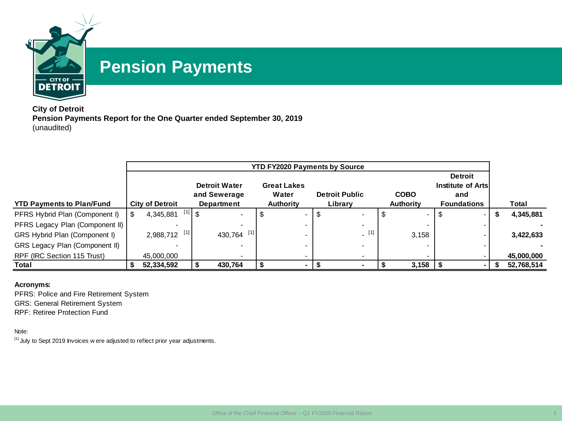

# **Pension Payments**

**City of Detroit Pension Payments Report for the One Quarter ended September 30, 2019** (unaudited)

| <b>YTD FY2020 Payments by Source</b> |  |                        |             |                          |   |                          |    |                       |  |                          |                    |  |            |
|--------------------------------------|--|------------------------|-------------|--------------------------|---|--------------------------|----|-----------------------|--|--------------------------|--------------------|--|------------|
|                                      |  |                        |             |                          |   |                          |    |                       |  |                          | <b>Detroit</b>     |  |            |
|                                      |  |                        |             | <b>Detroit Water</b>     |   | <b>Great Lakes</b>       |    |                       |  |                          | Institute of Arts  |  |            |
|                                      |  |                        |             | and Sewerage             |   | Water                    |    | <b>Detroit Public</b> |  | <b>COBO</b>              | and                |  |            |
| <b>YTD Payments to Plan/Fund</b>     |  | <b>City of Detroit</b> |             | <b>Department</b>        |   | <b>Authority</b>         |    | Library               |  | <b>Authority</b>         | <b>Foundations</b> |  | Total      |
| PFRS Hybrid Plan (Component I)       |  | 4,345,881              | $^{[1]}$ \$ | $\overline{\phantom{a}}$ | S | $\overline{\phantom{0}}$ | \$ |                       |  | $\sim$                   | $\sim$             |  | 4,345,881  |
| PFRS Legacy Plan (Component II)      |  |                        |             |                          |   |                          |    | $\sim$                |  |                          |                    |  |            |
| GRS Hybrid Plan (Component I)        |  | $2,988,712$ [1]        |             | 430,764 [1]              |   |                          |    | [1]                   |  | 3,158                    |                    |  | 3,422,633  |
| GRS Legacy Plan (Component II)       |  |                        |             |                          |   |                          |    |                       |  |                          |                    |  |            |
| RPF (IRC Section 115 Trust)          |  | 45,000,000             |             | $\overline{\phantom{a}}$ |   |                          |    |                       |  | $\overline{\phantom{0}}$ |                    |  | 45,000,000 |
| Total                                |  | 52,334,592             |             | 430,764                  |   |                          |    |                       |  | 3,158                    |                    |  | 52,768,514 |

#### **Acronyms:**

PFRS: Police and Fire Retirement System

GRS: General Retirement System

RPF: Retiree Protection Fund

#### Note:

 $[1]$  July to Sept 2019 Invoices w ere adjusted to reflect prior year adjustments.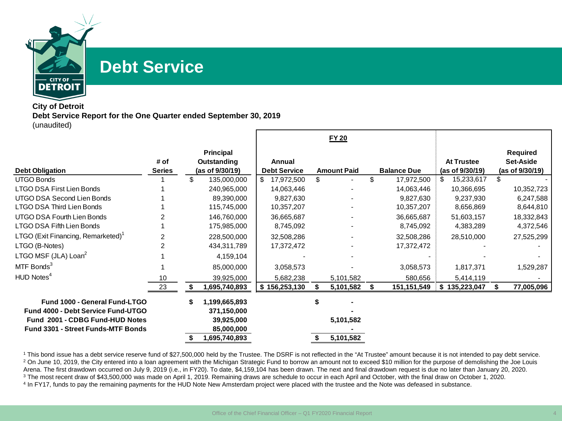

## **Debt Service**

#### **City of Detroit Debt Service Report for the One Quarter ended September 30, 2019** (unaudited)

|                                                                              |                       |    |                                                    |                               |    | <b>FY 20</b>       |                    |                                      |   |                                          |
|------------------------------------------------------------------------------|-----------------------|----|----------------------------------------------------|-------------------------------|----|--------------------|--------------------|--------------------------------------|---|------------------------------------------|
| <b>Debt Obligation</b>                                                       | # of<br><b>Series</b> |    | <b>Principal</b><br>Outstanding<br>(as of 9/30/19) | Annual<br><b>Debt Service</b> |    | <b>Amount Paid</b> | <b>Balance Due</b> | <b>At Trustee</b><br>(as of 9/30/19) |   | Required<br>Set-Aside<br>(as of 9/30/19) |
| <b>UTGO Bonds</b>                                                            |                       | \$ | 135,000,000                                        | \$<br>17,972,500              | \$ |                    | \$<br>17,972,500   | 15,233,617                           |   |                                          |
| <b>LTGO DSA First Lien Bonds</b>                                             |                       |    | 240,965,000                                        | 14,063,446                    |    |                    | 14,063,446         | 10,366,695                           |   | 10,352,723                               |
| UTGO DSA Second Lien Bonds                                                   |                       |    | 89,390,000                                         | 9,827,630                     |    |                    | 9,827,630          | 9,237,930                            |   | 6,247,588                                |
| LTGO DSA Third Lien Bonds                                                    |                       |    | 115,745,000                                        | 10,357,207                    |    |                    | 10,357,207         | 8,656,869                            |   | 8,644,810                                |
| UTGO DSA Fourth Lien Bonds                                                   |                       |    | 146,760,000                                        | 36,665,687                    |    |                    | 36,665,687         | 51,603,157                           |   | 18,332,843                               |
| LTGO DSA Fifth Lien Bonds                                                    |                       |    | 175,985,000                                        | 8,745,092                     |    |                    | 8,745,092          | 4,383,289                            |   | 4,372,546                                |
| LTGO (Exit Financing, Remarketed) <sup>1</sup>                               |                       |    | 228,500,000                                        | 32,508,286                    |    |                    | 32,508,286         | 28,510,000                           |   | 27,525,299                               |
| LTGO (B-Notes)                                                               |                       |    | 434,311,789                                        | 17,372,472                    |    |                    | 17,372,472         |                                      |   |                                          |
| LTGO MSF (JLA) Loan <sup>2</sup>                                             |                       |    | 4,159,104                                          |                               |    |                    |                    |                                      |   |                                          |
| MTF Bonds <sup>3</sup>                                                       |                       |    | 85,000,000                                         | 3,058,573                     |    |                    | 3,058,573          | 1,817,371                            |   | 1,529,287                                |
| HUD Notes <sup>4</sup>                                                       | 10                    |    | 39,925,000                                         | 5,682,238                     |    | 5,101,582          | 580,656            | 5,414,119                            |   |                                          |
|                                                                              | 23                    | S  | 1,695,740,893                                      | \$156,253,130                 |    | 5,101,582          | 151,151,549        | \$<br>135,223,047                    | S | 77,005,096                               |
| <b>Fund 1000 - General Fund-LTGO</b><br>Fund 4000 - Debt Service Fund-UTGO   |                       | \$ | 1,199,665,893<br>371,150,000                       |                               |    |                    |                    |                                      |   |                                          |
| Fund 2001 - CDBG Fund-HUD Notes<br><b>Fund 3301 - Street Funds-MTF Bonds</b> |                       |    | 39,925,000<br>85,000,000                           |                               |    | 5,101,582          |                    |                                      |   |                                          |
|                                                                              |                       |    | 1,695,740,893                                      |                               | S. | 5,101,582          |                    |                                      |   |                                          |

<sup>1</sup> This bond issue has a debt service reserve fund of \$27,500,000 held by the Trustee. The DSRF is not reflected in the "At Trustee" amount because it is not intended to pay debt service. <sup>2</sup> On June 10, 2019, the City entered into a loan agreement with the Michigan Strategic Fund to borrow an amount not to exceed \$10 million for the purpose of demolishing the Joe Louis Arena. The first drawdown occurred on July 9, 2019 (i.e., in FY20). To date, \$4,159,104 has been drawn. The next and final drawdown request is due no later than January 20, 2020. <sup>3</sup> The most recent draw of \$43,500,000 was made on April 1, 2019. Remaining draws are schedule to occur in each April and October, with the final draw on October 1, 2020. <sup>4</sup> In FY17, funds to pay the remaining payments for the HUD Note New Amsterdam project were placed with the trustee and the Note was defeased in substance.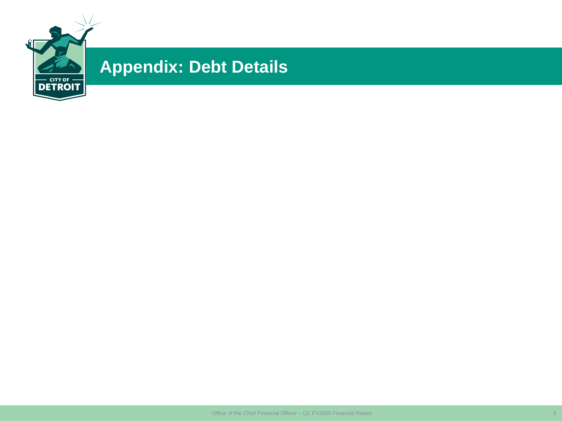

# **Appendix: Debt Details**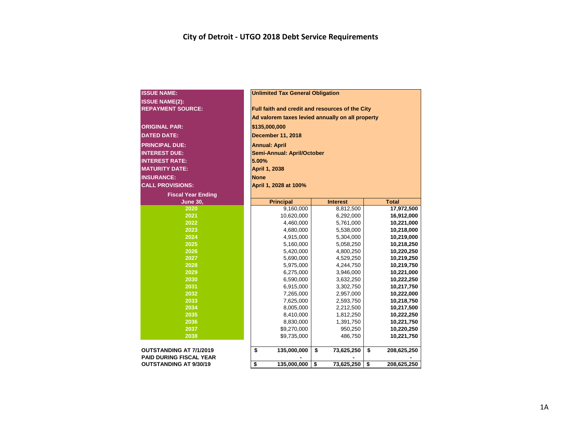| <b>ISSUE NAME:</b>             |       | <b>Unlimited Tax General Obligation</b>          |                  |    |              |  |  |  |  |  |  |  |  |  |
|--------------------------------|-------|--------------------------------------------------|------------------|----|--------------|--|--|--|--|--|--|--|--|--|
| <b>ISSUE NAME(2):</b>          |       |                                                  |                  |    |              |  |  |  |  |  |  |  |  |  |
| <b>REPAYMENT SOURCE:</b>       |       | Full faith and credit and resources of the City  |                  |    |              |  |  |  |  |  |  |  |  |  |
|                                |       | Ad valorem taxes levied annually on all property |                  |    |              |  |  |  |  |  |  |  |  |  |
| <b>ORIGINAL PAR:</b>           |       | \$135,000,000                                    |                  |    |              |  |  |  |  |  |  |  |  |  |
| <b>DATED DATE:</b>             |       | December 11, 2018                                |                  |    |              |  |  |  |  |  |  |  |  |  |
|                                |       |                                                  |                  |    |              |  |  |  |  |  |  |  |  |  |
| <b>PRINCIPAL DUE:</b>          |       | <b>Annual: April</b>                             |                  |    |              |  |  |  |  |  |  |  |  |  |
| <b>INTEREST DUE:</b>           |       | Semi-Annual: April/October                       |                  |    |              |  |  |  |  |  |  |  |  |  |
| <b>INTEREST RATE:</b>          | 5.00% |                                                  |                  |    |              |  |  |  |  |  |  |  |  |  |
| <b>MATURITY DATE:</b>          |       | April 1, 2038                                    |                  |    |              |  |  |  |  |  |  |  |  |  |
| <b>INSURANCE:</b>              |       | <b>None</b>                                      |                  |    |              |  |  |  |  |  |  |  |  |  |
| <b>CALL PROVISIONS:</b>        |       | April 1, 2028 at 100%                            |                  |    |              |  |  |  |  |  |  |  |  |  |
| <b>Fiscal Year Ending</b>      |       |                                                  |                  |    |              |  |  |  |  |  |  |  |  |  |
| <b>June 30,</b>                |       | <b>Principal</b>                                 | <b>Interest</b>  |    | <b>Total</b> |  |  |  |  |  |  |  |  |  |
| 2020                           |       | 9,160,000                                        | 8,812,500        |    | 17,972,500   |  |  |  |  |  |  |  |  |  |
| 2021                           |       | 10,620,000                                       | 6,292,000        |    | 16,912,000   |  |  |  |  |  |  |  |  |  |
| 2022                           |       | 4,460,000                                        | 5,761,000        |    | 10,221,000   |  |  |  |  |  |  |  |  |  |
| 2023                           |       | 4,680,000                                        | 5,538,000        |    | 10,218,000   |  |  |  |  |  |  |  |  |  |
| 2024                           |       | 4,915,000                                        | 5,304,000        |    | 10,219,000   |  |  |  |  |  |  |  |  |  |
| 2025                           |       | 5,160,000                                        | 5,058,250        |    | 10,218,250   |  |  |  |  |  |  |  |  |  |
| 2026                           |       | 5,420,000                                        | 4,800,250        |    | 10,220,250   |  |  |  |  |  |  |  |  |  |
| 2027                           |       | 5,690,000                                        | 4,529,250        |    | 10,219,250   |  |  |  |  |  |  |  |  |  |
| 2028                           |       | 5,975,000                                        | 4,244,750        |    | 10,219,750   |  |  |  |  |  |  |  |  |  |
| 2029                           |       | 6,275,000                                        | 3,946,000        |    | 10,221,000   |  |  |  |  |  |  |  |  |  |
| 2030                           |       | 6,590,000                                        | 3,632,250        |    | 10,222,250   |  |  |  |  |  |  |  |  |  |
| 2031                           |       | 6,915,000                                        | 3,302,750        |    | 10,217,750   |  |  |  |  |  |  |  |  |  |
| 2032                           |       | 7,265,000                                        | 2,957,000        |    | 10,222,000   |  |  |  |  |  |  |  |  |  |
| 2033                           |       | 7,625,000                                        | 2,593,750        |    | 10,218,750   |  |  |  |  |  |  |  |  |  |
| 2034                           |       | 8,005,000                                        | 2,212,500        |    | 10,217,500   |  |  |  |  |  |  |  |  |  |
| 2035                           |       | 8,410,000                                        | 1,812,250        |    | 10,222,250   |  |  |  |  |  |  |  |  |  |
| 2036                           |       | 8,830,000                                        | 1,391,750        |    | 10,221,750   |  |  |  |  |  |  |  |  |  |
| 2037                           |       | \$9,270,000                                      | 950,250          |    | 10,220,250   |  |  |  |  |  |  |  |  |  |
| 2038                           |       | \$9,735,000                                      | 486,750          |    | 10,221,750   |  |  |  |  |  |  |  |  |  |
| <b>OUTSTANDING AT 7/1/2019</b> | \$    | 135,000,000                                      | \$<br>73,625,250 | \$ | 208,625,250  |  |  |  |  |  |  |  |  |  |
| <b>PAID DURING FISCAL YEAR</b> |       |                                                  |                  |    |              |  |  |  |  |  |  |  |  |  |
| <b>OUTSTANDING AT 9/30/19</b>  | \$    | 135,000,000                                      | \$<br>73,625,250 | \$ | 208,625,250  |  |  |  |  |  |  |  |  |  |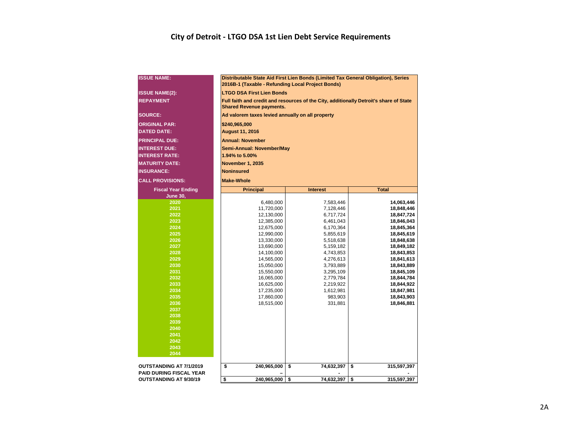### **City of Detroit - LTGO DSA 1st Lien Debt Service Requirements**

| <b>ISSUE NAME:</b>             | Distributable State Aid First Lien Bonds (Limited Tax General Obligation), Series<br>2016B-1 (Taxable - Refunding Local Project Bonds) |                        |                          |  |  |  |  |  |  |  |  |  |  |
|--------------------------------|----------------------------------------------------------------------------------------------------------------------------------------|------------------------|--------------------------|--|--|--|--|--|--|--|--|--|--|
| <b>ISSUE NAME(2):</b>          | <b>LTGO DSA First Lien Bonds</b>                                                                                                       |                        |                          |  |  |  |  |  |  |  |  |  |  |
| <b>REPAYMENT</b>               | Full faith and credit and resources of the City, additionally Detroit's share of State<br><b>Shared Revenue payments.</b>              |                        |                          |  |  |  |  |  |  |  |  |  |  |
| SOURCE:                        | Ad valorem taxes levied annually on all property                                                                                       |                        |                          |  |  |  |  |  |  |  |  |  |  |
| <b>ORIGINAL PAR:</b>           | \$240,965,000                                                                                                                          |                        |                          |  |  |  |  |  |  |  |  |  |  |
| <b>DATED DATE:</b>             | <b>August 11, 2016</b>                                                                                                                 |                        |                          |  |  |  |  |  |  |  |  |  |  |
| <b>PRINCIPAL DUE:</b>          | <b>Annual: November</b>                                                                                                                |                        |                          |  |  |  |  |  |  |  |  |  |  |
| <b>INTEREST DUE:</b>           | Semi-Annual: November/May                                                                                                              |                        |                          |  |  |  |  |  |  |  |  |  |  |
| <b>INTEREST RATE:</b>          | 1.94% to 5.00%                                                                                                                         |                        |                          |  |  |  |  |  |  |  |  |  |  |
| <b>MATURITY DATE:</b>          | November 1, 2035                                                                                                                       |                        |                          |  |  |  |  |  |  |  |  |  |  |
| <b>INSURANCE:</b>              | <b>Noninsured</b>                                                                                                                      |                        |                          |  |  |  |  |  |  |  |  |  |  |
| <b>CALL PROVISIONS:</b>        | <b>Make-Whole</b>                                                                                                                      |                        |                          |  |  |  |  |  |  |  |  |  |  |
| <b>Fiscal Year Ending</b>      | <b>Principal</b>                                                                                                                       | <b>Interest</b>        | <b>Total</b>             |  |  |  |  |  |  |  |  |  |  |
| <b>June 30,</b>                |                                                                                                                                        |                        |                          |  |  |  |  |  |  |  |  |  |  |
| 2020                           | 6,480,000                                                                                                                              | 7,583,446              | 14,063,446               |  |  |  |  |  |  |  |  |  |  |
| 2021                           | 11,720,000                                                                                                                             | 7,128,446              | 18,848,446               |  |  |  |  |  |  |  |  |  |  |
| 2022                           | 12,130,000                                                                                                                             | 6,717,724              | 18,847,724               |  |  |  |  |  |  |  |  |  |  |
| 2023                           | 12,385,000                                                                                                                             | 6,461,043              | 18,846,043               |  |  |  |  |  |  |  |  |  |  |
| 2024                           | 12,675,000                                                                                                                             | 6,170,364              | 18,845,364               |  |  |  |  |  |  |  |  |  |  |
| 2025                           | 12,990,000                                                                                                                             | 5,855,619              | 18,845,619               |  |  |  |  |  |  |  |  |  |  |
| 2026<br>2027                   | 13,330,000<br>13,690,000                                                                                                               | 5,518,638<br>5,159,182 | 18,848,638<br>18,849,182 |  |  |  |  |  |  |  |  |  |  |
| 2028                           | 14,100,000                                                                                                                             | 4,743,853              | 18,843,853               |  |  |  |  |  |  |  |  |  |  |
| 2029                           | 14,565,000                                                                                                                             | 4,276,613              | 18,841,613               |  |  |  |  |  |  |  |  |  |  |
| 2030                           | 15,050,000                                                                                                                             | 3,793,889              | 18,843,889               |  |  |  |  |  |  |  |  |  |  |
| 2031                           | 15,550,000                                                                                                                             | 3,295,109              | 18,845,109               |  |  |  |  |  |  |  |  |  |  |
| 2032                           | 16,065,000                                                                                                                             | 2,779,784              | 18,844,784               |  |  |  |  |  |  |  |  |  |  |
| 2033                           | 16,625,000                                                                                                                             | 2,219,922              | 18,844,922               |  |  |  |  |  |  |  |  |  |  |
| 2034                           | 17,235,000                                                                                                                             | 1,612,981              | 18,847,981               |  |  |  |  |  |  |  |  |  |  |
| 2035                           | 17,860,000                                                                                                                             | 983,903                | 18,843,903               |  |  |  |  |  |  |  |  |  |  |
| 2036                           | 18,515,000                                                                                                                             | 331,881                | 18,846,881               |  |  |  |  |  |  |  |  |  |  |
| 2037<br>2038                   |                                                                                                                                        |                        |                          |  |  |  |  |  |  |  |  |  |  |
| 2039                           |                                                                                                                                        |                        |                          |  |  |  |  |  |  |  |  |  |  |
| 2040                           |                                                                                                                                        |                        |                          |  |  |  |  |  |  |  |  |  |  |
| 2041                           |                                                                                                                                        |                        |                          |  |  |  |  |  |  |  |  |  |  |
| 2042                           |                                                                                                                                        |                        |                          |  |  |  |  |  |  |  |  |  |  |
| 2043                           |                                                                                                                                        |                        |                          |  |  |  |  |  |  |  |  |  |  |
| 2044                           |                                                                                                                                        |                        |                          |  |  |  |  |  |  |  |  |  |  |
| <b>OUTSTANDING AT 7/1/2019</b> | \$<br>240,965,000                                                                                                                      | \$<br>74,632,397       | \$<br>315,597,397        |  |  |  |  |  |  |  |  |  |  |
| <b>PAID DURING FISCAL YEAR</b> |                                                                                                                                        |                        |                          |  |  |  |  |  |  |  |  |  |  |
| <b>OUTSTANDING AT 9/30/19</b>  | \$<br>240,965,000                                                                                                                      | \$<br>74,632,397       | \$<br>315,597,397        |  |  |  |  |  |  |  |  |  |  |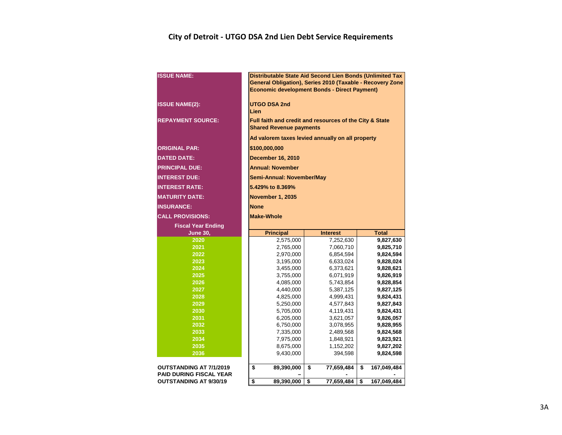### **City of Detroit - UTGO DSA 2nd Lien Debt Service Requirements**

| <b>ISSUE NAME:</b>                                              | Distributable State Aid Second Lien Bonds (Unlimited Tax<br>General Obligation), Series 2010 (Taxable - Recovery Zone<br><b>Economic development Bonds - Direct Payment)</b> |                        |                        |  |  |  |  |  |  |  |  |  |
|-----------------------------------------------------------------|------------------------------------------------------------------------------------------------------------------------------------------------------------------------------|------------------------|------------------------|--|--|--|--|--|--|--|--|--|
| <b>ISSUE NAME(2):</b>                                           | <b>UTGO DSA 2nd</b><br>Lien                                                                                                                                                  |                        |                        |  |  |  |  |  |  |  |  |  |
| <b>REPAYMENT SOURCE:</b>                                        | Full faith and credit and resources of the City & State<br><b>Shared Revenue payments</b>                                                                                    |                        |                        |  |  |  |  |  |  |  |  |  |
|                                                                 | Ad valorem taxes levied annually on all property                                                                                                                             |                        |                        |  |  |  |  |  |  |  |  |  |
| <b>ORIGINAL PAR:</b>                                            | \$100,000,000                                                                                                                                                                |                        |                        |  |  |  |  |  |  |  |  |  |
| <b>DATED DATE:</b>                                              | <b>December 16, 2010</b>                                                                                                                                                     |                        |                        |  |  |  |  |  |  |  |  |  |
| <b>PRINCIPAL DUE:</b>                                           | <b>Annual: November</b>                                                                                                                                                      |                        |                        |  |  |  |  |  |  |  |  |  |
| <b>INTEREST DUE:</b>                                            | Semi-Annual: November/May                                                                                                                                                    |                        |                        |  |  |  |  |  |  |  |  |  |
| <b>INTEREST RATE:</b>                                           | 5.429% to 8.369%                                                                                                                                                             |                        |                        |  |  |  |  |  |  |  |  |  |
| <b>MATURITY DATE:</b>                                           | <b>November 1, 2035</b>                                                                                                                                                      |                        |                        |  |  |  |  |  |  |  |  |  |
| <b>INSURANCE:</b>                                               | <b>None</b>                                                                                                                                                                  |                        |                        |  |  |  |  |  |  |  |  |  |
| <b>CALL PROVISIONS:</b>                                         | <b>Make-Whole</b>                                                                                                                                                            |                        |                        |  |  |  |  |  |  |  |  |  |
| <b>Fiscal Year Ending</b>                                       |                                                                                                                                                                              |                        |                        |  |  |  |  |  |  |  |  |  |
|                                                                 | <b>Principal</b><br><b>Total</b><br><b>Interest</b>                                                                                                                          |                        |                        |  |  |  |  |  |  |  |  |  |
| <b>June 30,</b>                                                 |                                                                                                                                                                              |                        |                        |  |  |  |  |  |  |  |  |  |
| 2020                                                            | 2,575,000                                                                                                                                                                    | 7,252,630              | 9,827,630              |  |  |  |  |  |  |  |  |  |
| 2021                                                            | 2,765,000                                                                                                                                                                    | 7,060,710              | 9,825,710              |  |  |  |  |  |  |  |  |  |
| 2022                                                            | 2,970,000                                                                                                                                                                    | 6,854,594              | 9,824,594              |  |  |  |  |  |  |  |  |  |
| 2023                                                            | 3,195,000                                                                                                                                                                    | 6,633,024              | 9,828,024              |  |  |  |  |  |  |  |  |  |
| 2024                                                            | 3,455,000                                                                                                                                                                    | 6,373,621              | 9,828,621              |  |  |  |  |  |  |  |  |  |
| 2025                                                            | 3,755,000                                                                                                                                                                    | 6,071,919              | 9,826,919              |  |  |  |  |  |  |  |  |  |
| 2026                                                            | 4,085,000                                                                                                                                                                    | 5,743,854              | 9,828,854              |  |  |  |  |  |  |  |  |  |
| 2027                                                            | 4,440,000                                                                                                                                                                    | 5,387,125              | 9,827,125              |  |  |  |  |  |  |  |  |  |
| 2028<br>2029                                                    | 4,825,000                                                                                                                                                                    | 4,999,431              | 9,824,431              |  |  |  |  |  |  |  |  |  |
| 2030                                                            | 5,250,000<br>5,705,000                                                                                                                                                       | 4,577,843<br>4,119,431 | 9,827,843<br>9,824,431 |  |  |  |  |  |  |  |  |  |
| 2031                                                            | 6,205,000                                                                                                                                                                    | 3,621,057              | 9,826,057              |  |  |  |  |  |  |  |  |  |
| 2032                                                            | 6,750,000                                                                                                                                                                    | 3,078,955              | 9,828,955              |  |  |  |  |  |  |  |  |  |
| 2033                                                            | 7,335,000                                                                                                                                                                    | 2,489,568              | 9,824,568              |  |  |  |  |  |  |  |  |  |
| 2034                                                            | 7,975,000                                                                                                                                                                    | 1,848,921              | 9,823,921              |  |  |  |  |  |  |  |  |  |
| 2035                                                            | 8,675,000                                                                                                                                                                    | 1,152,202              | 9,827,202              |  |  |  |  |  |  |  |  |  |
| 2036                                                            | 9,430,000                                                                                                                                                                    | 394,598                | 9,824,598              |  |  |  |  |  |  |  |  |  |
| <b>OUTSTANDING AT 7/1/2019</b>                                  | \$<br>89,390,000                                                                                                                                                             | \$<br>77,659,484       | \$<br>167,049,484      |  |  |  |  |  |  |  |  |  |
| <b>PAID DURING FISCAL YEAR</b><br><b>OUTSTANDING AT 9/30/19</b> | \$<br>89,390,000                                                                                                                                                             | \$<br>77,659,484       | \$<br>167,049,484      |  |  |  |  |  |  |  |  |  |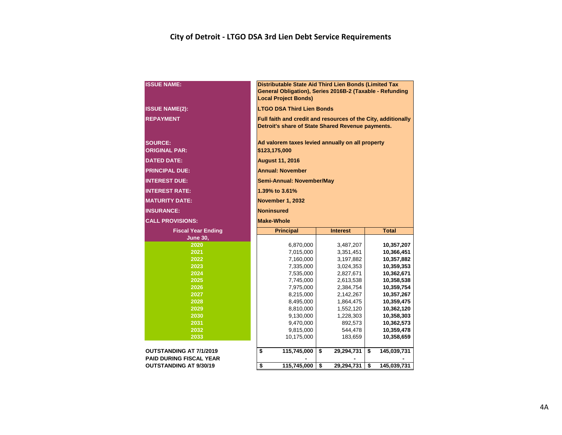### **City of Detroit - LTGO DSA 3rd Lien Debt Service Requirements**

| <b>ISSUE NAME:</b>                     | Distributable State Aid Third Lien Bonds (Limited Tax<br>General Obligation), Series 2016B-2 (Taxable - Refunding<br><b>Local Project Bonds)</b> |                                  |    |                        |    |                          |  |  |  |  |  |  |  |
|----------------------------------------|--------------------------------------------------------------------------------------------------------------------------------------------------|----------------------------------|----|------------------------|----|--------------------------|--|--|--|--|--|--|--|
| <b>ISSUE NAME(2):</b>                  |                                                                                                                                                  | <b>LTGO DSA Third Lien Bonds</b> |    |                        |    |                          |  |  |  |  |  |  |  |
| <b>REPAYMENT</b>                       | Full faith and credit and resources of the City, additionally<br>Detroit's share of State Shared Revenue payments.                               |                                  |    |                        |    |                          |  |  |  |  |  |  |  |
| <b>SOURCE:</b><br><b>ORIGINAL PAR:</b> | Ad valorem taxes levied annually on all property<br>\$123,175,000                                                                                |                                  |    |                        |    |                          |  |  |  |  |  |  |  |
| <b>DATED DATE:</b>                     | <b>August 11, 2016</b>                                                                                                                           |                                  |    |                        |    |                          |  |  |  |  |  |  |  |
| <b>PRINCIPAL DUE:</b>                  |                                                                                                                                                  | <b>Annual: November</b>          |    |                        |    |                          |  |  |  |  |  |  |  |
| <b>INTEREST DUE:</b>                   |                                                                                                                                                  | Semi-Annual: November/May        |    |                        |    |                          |  |  |  |  |  |  |  |
| <b>INTEREST RATE:</b>                  |                                                                                                                                                  | 1.39% to 3.61%                   |    |                        |    |                          |  |  |  |  |  |  |  |
| <b>MATURITY DATE:</b>                  |                                                                                                                                                  | November 1, 2032                 |    |                        |    |                          |  |  |  |  |  |  |  |
| <b>INSURANCE:</b>                      |                                                                                                                                                  | Noninsured                       |    |                        |    |                          |  |  |  |  |  |  |  |
| <b>CALL PROVISIONS:</b>                |                                                                                                                                                  | <b>Make-Whole</b>                |    |                        |    |                          |  |  |  |  |  |  |  |
| <b>Fiscal Year Ending</b>              |                                                                                                                                                  | <b>Principal</b>                 |    | <b>Interest</b>        |    | <b>Total</b>             |  |  |  |  |  |  |  |
| <b>June 30,</b>                        |                                                                                                                                                  |                                  |    |                        |    |                          |  |  |  |  |  |  |  |
| 2020                                   |                                                                                                                                                  | 6,870,000                        |    | 3,487,207              |    | 10,357,207               |  |  |  |  |  |  |  |
| 2021                                   |                                                                                                                                                  | 7,015,000                        |    | 3,351,451              |    | 10,366,451               |  |  |  |  |  |  |  |
| 2022                                   |                                                                                                                                                  | 7,160,000                        |    | 3,197,882              |    | 10,357,882               |  |  |  |  |  |  |  |
| 2023                                   |                                                                                                                                                  | 7,335,000                        |    | 3,024,353              |    | 10,359,353               |  |  |  |  |  |  |  |
| 2024<br>2025                           |                                                                                                                                                  | 7,535,000<br>7,745,000           |    | 2,827,671<br>2,613,538 |    | 10,362,671<br>10,358,538 |  |  |  |  |  |  |  |
| 2026                                   |                                                                                                                                                  | 7,975,000                        |    | 2,384,754              |    | 10,359,754               |  |  |  |  |  |  |  |
| 2027                                   |                                                                                                                                                  | 8,215,000                        |    | 2,142,267              |    | 10,357,267               |  |  |  |  |  |  |  |
| 2028                                   |                                                                                                                                                  | 8,495,000                        |    | 1,864,475              |    | 10,359,475               |  |  |  |  |  |  |  |
| 2029                                   |                                                                                                                                                  | 8,810,000                        |    | 1,552,120              |    | 10,362,120               |  |  |  |  |  |  |  |
| 2030                                   |                                                                                                                                                  | 9,130,000                        |    | 1,228,303              |    | 10,358,303               |  |  |  |  |  |  |  |
| 2031                                   |                                                                                                                                                  | 9,470,000                        |    | 892,573                |    | 10,362,573               |  |  |  |  |  |  |  |
| 2032                                   |                                                                                                                                                  | 9,815,000                        |    | 544,478                |    | 10,359,478               |  |  |  |  |  |  |  |
| 2033                                   |                                                                                                                                                  | 10,175,000                       |    | 183,659                |    | 10,358,659               |  |  |  |  |  |  |  |
| <b>OUTSTANDING AT 7/1/2019</b>         | \$                                                                                                                                               | 115,745,000                      | \$ | 29,294,731             | \$ | 145,039,731              |  |  |  |  |  |  |  |
| <b>PAID DURING FISCAL YEAR</b>         |                                                                                                                                                  |                                  |    |                        |    |                          |  |  |  |  |  |  |  |
| <b>OUTSTANDING AT 9/30/19</b>          | \$                                                                                                                                               | 115,745,000                      | \$ | 29,294,731             | \$ | 145,039,731              |  |  |  |  |  |  |  |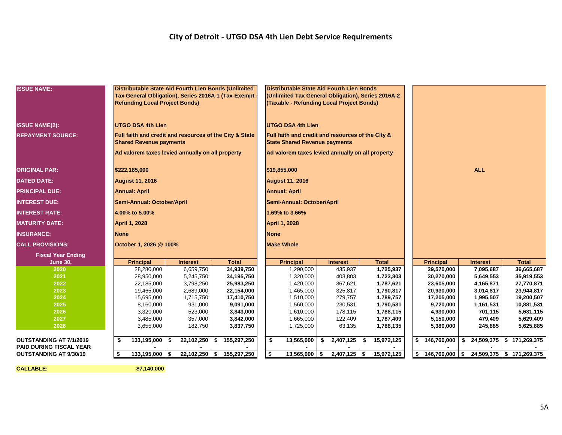### **City of Detroit - UTGO DSA 4th Lien Debt Service Requirements**

| <b>ISSUE NAME:</b>             | Distributable State Aid Fourth Lien Bonds (Unlimited    |                  |                             | Distributable State Aid Fourth Lien Bonds                                                       |                            |                  |                                                   |                 |                              |  |
|--------------------------------|---------------------------------------------------------|------------------|-----------------------------|-------------------------------------------------------------------------------------------------|----------------------------|------------------|---------------------------------------------------|-----------------|------------------------------|--|
|                                | Tax General Obligation), Series 2016A-1 (Tax-Exempt     |                  |                             | (Unlimited Tax General Obligation), Series 2016A-2<br>(Taxable - Refunding Local Project Bonds) |                            |                  |                                                   |                 |                              |  |
|                                | <b>Refunding Local Project Bonds)</b>                   |                  |                             |                                                                                                 |                            |                  |                                                   |                 |                              |  |
|                                |                                                         |                  |                             |                                                                                                 |                            |                  |                                                   |                 |                              |  |
|                                | <b>UTGO DSA 4th Lien</b>                                |                  |                             | <b>UTGO DSA 4th Lien</b>                                                                        |                            |                  |                                                   |                 |                              |  |
| <b>ISSUE NAME(2):</b>          |                                                         |                  |                             |                                                                                                 |                            |                  |                                                   |                 |                              |  |
| <b>REPAYMENT SOURCE:</b>       | Full faith and credit and resources of the City & State |                  |                             | Full faith and credit and resources of the City &                                               |                            |                  |                                                   |                 |                              |  |
|                                | <b>Shared Revenue payments</b>                          |                  |                             | <b>State Shared Revenue payments</b>                                                            |                            |                  |                                                   |                 |                              |  |
|                                | Ad valorem taxes levied annually on all property        |                  |                             | Ad valorem taxes levied annually on all property                                                |                            |                  |                                                   |                 |                              |  |
|                                |                                                         |                  |                             |                                                                                                 |                            |                  |                                                   |                 |                              |  |
| <b>ORIGINAL PAR:</b>           | \$222,185,000                                           |                  |                             | \$19,855,000                                                                                    |                            |                  |                                                   | <b>ALL</b>      |                              |  |
| <b>DATED DATE:</b>             | <b>August 11, 2016</b>                                  |                  |                             | <b>August 11, 2016</b>                                                                          |                            |                  |                                                   |                 |                              |  |
| <b>PRINCIPAL DUE:</b>          | <b>Annual: April</b>                                    |                  |                             | <b>Annual: April</b>                                                                            |                            |                  |                                                   |                 |                              |  |
| <b>INTEREST DUE:</b>           | Semi-Annual: October/April                              |                  |                             | Semi-Annual: October/April                                                                      |                            |                  |                                                   |                 |                              |  |
| <b>INTEREST RATE:</b>          | 4.00% to 5.00%                                          |                  |                             | 1.69% to 3.66%                                                                                  |                            |                  |                                                   |                 |                              |  |
| <b>MATURITY DATE:</b>          | <b>April 1, 2028</b>                                    |                  |                             | <b>April 1, 2028</b>                                                                            |                            |                  |                                                   |                 |                              |  |
| <b>INSURANCE:</b>              | <b>None</b>                                             |                  |                             | <b>None</b>                                                                                     |                            |                  |                                                   |                 |                              |  |
| <b>CALL PROVISIONS:</b>        | October 1, 2026 @ 100%                                  |                  |                             | <b>Make Whole</b>                                                                               |                            |                  |                                                   |                 |                              |  |
| <b>Fiscal Year Ending</b>      |                                                         |                  |                             |                                                                                                 |                            |                  |                                                   |                 |                              |  |
| <b>June 30,</b>                | <b>Principal</b>                                        | <b>Interest</b>  | <b>Total</b>                | <b>Principal</b>                                                                                | <b>Interest</b>            | <b>Total</b>     | <b>Principal</b>                                  | <b>Interest</b> | <b>Total</b>                 |  |
| 2020                           | 28,280,000                                              | 6,659,750        | 34,939,750                  | 1,290,000                                                                                       | 435,937                    | 1,725,937        | 29,570,000                                        | 7,095,687       | 36,665,687                   |  |
| 2021                           | 28,950,000                                              | 5,245,750        | 34,195,750                  | 1,320,000                                                                                       | 403,803                    | 1,723,803        | 30,270,000                                        | 5,649,553       | 35,919,553                   |  |
| 2022                           | 22,185,000                                              | 3,798,250        | 25,983,250                  | 1,420,000                                                                                       | 367,621                    | 1,787,621        | 23,605,000                                        | 4,165,871       | 27,770,871                   |  |
| 2023                           | 19,465,000                                              | 2,689,000        | 22,154,000                  | 1,465,000                                                                                       | 325,817                    | 1,790,817        | 20,930,000                                        | 3,014,817       | 23,944,817                   |  |
| 2024                           | 15,695,000                                              | 1,715,750        | 17,410,750                  | 1,510,000                                                                                       | 279,757                    | 1,789,757        | 17,205,000                                        | 1,995,507       | 19,200,507                   |  |
| 2025                           | 8,160,000                                               | 931,000          | 9,091,000                   | 1,560,000                                                                                       | 230,531                    | 1,790,531        | 9,720,000                                         | 1,161,531       | 10,881,531                   |  |
| 2026                           | 3,320,000                                               | 523,000          | 3,843,000                   | 1,610,000                                                                                       | 178,115                    | 1,788,115        | 4,930,000                                         | 701,115         | 5,631,115                    |  |
| 2027                           | 3,485,000                                               | 357,000          | 3,842,000                   | 1,665,000                                                                                       | 122,409                    | 1,787,409        | 5,150,000                                         | 479,409         | 5,629,409                    |  |
| 2028                           | 3,655,000                                               | 182,750          | 3,837,750                   | 1,725,000                                                                                       | 63,135                     | 1,788,135        | 5,380,000                                         | 245,885         | 5,625,885                    |  |
| <b>OUTSTANDING AT 7/1/2019</b> | 133,195,000<br>\$                                       | 22,102,250<br>\$ | $\overline{\$}$ 155,297,250 | 13,565,000<br>\$                                                                                | $\mathbf{\$}$<br>2,407,125 | \$<br>15,972,125 | 146,760,000<br>s.                                 |                 | $$24,509,375$ $$171,269,375$ |  |
| PAID DURING FISCAL YEAR        |                                                         |                  |                             |                                                                                                 |                            |                  |                                                   |                 |                              |  |
| <b>OUTSTANDING AT 9/30/19</b>  | 133,195,000<br>\$                                       | -\$              | 22,102,250 \$ 155,297,250   | \$<br>13,565,000                                                                                | $2,407,125$ \$<br>\$       | 15,972,125       | $$146,760,000 \mid $24,509,375 \mid $171,269,375$ |                 |                              |  |

**CALLABLE: \$7,140,000**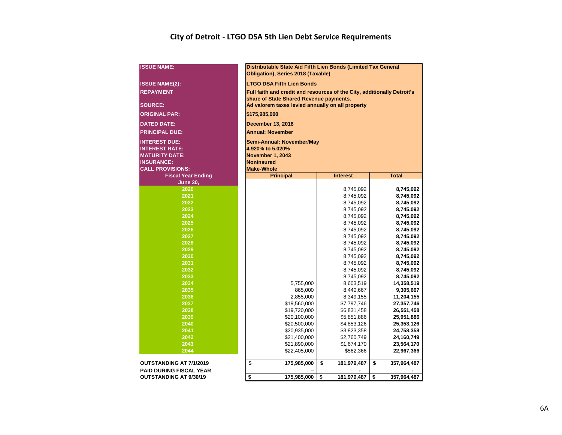### **City of Detroit - LTGO DSA 5th Lien Debt Service Requirements**

| <b>ISSUE NAME:</b>        | Distributable State Aid Fifth Lien Bonds (Limited Tax General<br>Obligation), Series 2018 (Taxable) |                        |                        |  |  |  |  |  |  |  |  |  |  |  |
|---------------------------|-----------------------------------------------------------------------------------------------------|------------------------|------------------------|--|--|--|--|--|--|--|--|--|--|--|
| <b>ISSUE NAME(2):</b>     | <b>LTGO DSA Fifth Lien Bonds</b>                                                                    |                        |                        |  |  |  |  |  |  |  |  |  |  |  |
| <b>REPAYMENT</b>          | Full faith and credit and resources of the City, additionally Detroit's                             |                        |                        |  |  |  |  |  |  |  |  |  |  |  |
|                           | share of State Shared Revenue payments.                                                             |                        |                        |  |  |  |  |  |  |  |  |  |  |  |
| <b>SOURCE:</b>            | Ad valorem taxes levied annually on all property                                                    |                        |                        |  |  |  |  |  |  |  |  |  |  |  |
| <b>ORIGINAL PAR:</b>      | \$175,985,000                                                                                       |                        |                        |  |  |  |  |  |  |  |  |  |  |  |
| <b>DATED DATE:</b>        | <b>December 13, 2018</b>                                                                            |                        |                        |  |  |  |  |  |  |  |  |  |  |  |
| <b>PRINCIPAL DUE:</b>     | <b>Annual: November</b>                                                                             |                        |                        |  |  |  |  |  |  |  |  |  |  |  |
| <b>INTEREST DUE:</b>      | Semi-Annual: November/May                                                                           |                        |                        |  |  |  |  |  |  |  |  |  |  |  |
| <b>INTEREST RATE:</b>     | 4.920% to 5.020%                                                                                    |                        |                        |  |  |  |  |  |  |  |  |  |  |  |
| <b>MATURITY DATE:</b>     | November 1, 2043                                                                                    |                        |                        |  |  |  |  |  |  |  |  |  |  |  |
| <b>INSURANCE:</b>         | <b>Noninsured</b>                                                                                   |                        |                        |  |  |  |  |  |  |  |  |  |  |  |
| <b>CALL PROVISIONS:</b>   | <b>Make-Whole</b>                                                                                   |                        |                        |  |  |  |  |  |  |  |  |  |  |  |
| <b>Fiscal Year Ending</b> | <b>Principal</b>                                                                                    | <b>Interest</b>        | <b>Total</b>           |  |  |  |  |  |  |  |  |  |  |  |
| <b>June 30,</b>           |                                                                                                     |                        |                        |  |  |  |  |  |  |  |  |  |  |  |
| 2020                      |                                                                                                     | 8,745,092              | 8,745,092              |  |  |  |  |  |  |  |  |  |  |  |
| 2021                      |                                                                                                     | 8,745,092              | 8,745,092              |  |  |  |  |  |  |  |  |  |  |  |
| 2022                      |                                                                                                     | 8,745,092              | 8,745,092              |  |  |  |  |  |  |  |  |  |  |  |
| 2023                      |                                                                                                     | 8,745,092              | 8,745,092              |  |  |  |  |  |  |  |  |  |  |  |
| 2024                      |                                                                                                     | 8,745,092              | 8,745,092              |  |  |  |  |  |  |  |  |  |  |  |
| 2025<br>2026              |                                                                                                     | 8,745,092              | 8,745,092              |  |  |  |  |  |  |  |  |  |  |  |
| 2027                      |                                                                                                     | 8,745,092              | 8,745,092              |  |  |  |  |  |  |  |  |  |  |  |
| 2028                      |                                                                                                     | 8,745,092<br>8,745,092 | 8,745,092<br>8,745,092 |  |  |  |  |  |  |  |  |  |  |  |
| 2029                      |                                                                                                     | 8,745,092              | 8,745,092              |  |  |  |  |  |  |  |  |  |  |  |
| 2030                      |                                                                                                     | 8,745,092              | 8,745,092              |  |  |  |  |  |  |  |  |  |  |  |
| 2031                      |                                                                                                     | 8,745,092              | 8,745,092              |  |  |  |  |  |  |  |  |  |  |  |
| 2032                      |                                                                                                     | 8,745,092              | 8,745,092              |  |  |  |  |  |  |  |  |  |  |  |
| 2033                      |                                                                                                     | 8,745,092              | 8,745,092              |  |  |  |  |  |  |  |  |  |  |  |
| 2034                      | 5,755,000                                                                                           | 8,603,519              | 14,358,519             |  |  |  |  |  |  |  |  |  |  |  |
| 2035                      | 865,000                                                                                             | 8,440,667              | 9,305,667              |  |  |  |  |  |  |  |  |  |  |  |
| 2036                      | 2,855,000                                                                                           | 8,349,155              | 11,204,155             |  |  |  |  |  |  |  |  |  |  |  |
| 2037                      | \$19,560,000                                                                                        | \$7,797,746            | 27,357,746             |  |  |  |  |  |  |  |  |  |  |  |
| 2038                      | \$19,720,000                                                                                        | \$6,831,458            | 26,551,458             |  |  |  |  |  |  |  |  |  |  |  |
| 2039                      | \$20,100,000                                                                                        | \$5,851,886            | 25,951,886             |  |  |  |  |  |  |  |  |  |  |  |
| 2040                      | \$20,500,000                                                                                        | \$4,853,126            | 25,353,126             |  |  |  |  |  |  |  |  |  |  |  |
| 2041                      | \$20,935,000                                                                                        | \$3,823,358            | 24,758,358             |  |  |  |  |  |  |  |  |  |  |  |
| 2042                      | \$21,400,000                                                                                        | \$2,760,749            | 24,160,749             |  |  |  |  |  |  |  |  |  |  |  |
| 2043                      | \$21,890,000                                                                                        | \$1,674,170            | 23,564,170             |  |  |  |  |  |  |  |  |  |  |  |
| 2044                      | \$22,405,000                                                                                        | \$562,366              | 22,967,366             |  |  |  |  |  |  |  |  |  |  |  |
| OUTSTANDING AT 7/1/2019   | \$<br>175,985,000                                                                                   | \$<br>181,979,487      | \$<br>357,964,487      |  |  |  |  |  |  |  |  |  |  |  |
| PAID DURING FISCAL YEAR   |                                                                                                     |                        |                        |  |  |  |  |  |  |  |  |  |  |  |
| OUTSTANDING AT 9/30/19    | \$<br>175,985,000                                                                                   | \$<br>181,979,487      | 357,964,487<br>\$      |  |  |  |  |  |  |  |  |  |  |  |
|                           |                                                                                                     |                        |                        |  |  |  |  |  |  |  |  |  |  |  |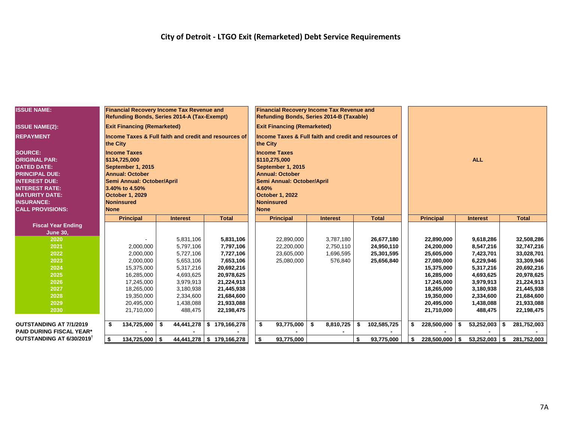| <b>ISSUE NAME:</b>                    |             | <b>Financial Recovery Income Tax Revenue and</b><br>Refunding Bonds, Series 2014-A (Tax-Exempt) |      |                      |                                                       |             | <b>Financial Recovery Income Tax Revenue and</b><br>Refunding Bonds, Series 2014-B (Taxable) |                 |    |              |                          |                        |      |                          |
|---------------------------------------|-------------|-------------------------------------------------------------------------------------------------|------|----------------------|-------------------------------------------------------|-------------|----------------------------------------------------------------------------------------------|-----------------|----|--------------|--------------------------|------------------------|------|--------------------------|
| <b>ISSUE NAME(2):</b>                 |             | <b>Exit Financing (Remarketed)</b>                                                              |      |                      |                                                       |             | <b>Exit Financing (Remarketed)</b>                                                           |                 |    |              |                          |                        |      |                          |
| <b>REPAYMENT</b>                      | the City    |                                                                                                 |      |                      | Income Taxes & Full faith and credit and resources of | the City    | Income Taxes & Full faith and credit and resources of                                        |                 |    |              |                          |                        |      |                          |
| <b>SOURCE:</b>                        |             | <b>Income Taxes</b>                                                                             |      |                      |                                                       |             | <b>Income Taxes</b>                                                                          |                 |    |              |                          |                        |      |                          |
| <b>ORIGINAL PAR:</b>                  |             | \$134,725,000                                                                                   |      |                      |                                                       |             | \$110,275,000                                                                                |                 |    |              |                          | <b>ALL</b>             |      |                          |
| <b>DATED DATE:</b>                    |             | September 1, 2015                                                                               |      |                      |                                                       |             | September 1, 2015                                                                            |                 |    |              |                          |                        |      |                          |
| <b>PRINCIPAL DUE:</b>                 |             | <b>Annual: October</b>                                                                          |      |                      |                                                       |             | <b>Annual: October</b>                                                                       |                 |    |              |                          |                        |      |                          |
| <b>INTEREST DUE:</b>                  |             | Semi Annual: October/April                                                                      |      |                      |                                                       |             | Semi Annual: October/April                                                                   |                 |    |              |                          |                        |      |                          |
| <b>INTEREST RATE:</b>                 |             | 3.40% to 4.50%                                                                                  |      |                      |                                                       | 4.60%       |                                                                                              |                 |    |              |                          |                        |      |                          |
| <b>MATURITY DATE:</b>                 |             | <b>October 1, 2029</b>                                                                          |      |                      |                                                       |             | October 1, 2022                                                                              |                 |    |              |                          |                        |      |                          |
| <b>INSURANCE:</b>                     |             | <b>Noninsured</b>                                                                               |      |                      |                                                       |             | Noninsured                                                                                   |                 |    |              |                          |                        |      |                          |
| <b>CALL PROVISIONS:</b>               | <b>None</b> |                                                                                                 |      |                      |                                                       | <b>None</b> |                                                                                              |                 |    |              |                          |                        |      |                          |
|                                       |             | <b>Principal</b>                                                                                |      | <b>Interest</b>      | <b>Total</b>                                          |             | <b>Principal</b>                                                                             | <b>Interest</b> |    | <b>Total</b> | <b>Principal</b>         | <b>Interest</b>        |      | <b>Total</b>             |
| <b>Fiscal Year Ending</b>             |             |                                                                                                 |      |                      |                                                       |             |                                                                                              |                 |    |              |                          |                        |      |                          |
| <b>June 30,</b>                       |             |                                                                                                 |      |                      |                                                       |             |                                                                                              |                 |    |              |                          |                        |      |                          |
| 2020                                  |             |                                                                                                 |      | 5,831,106            | 5,831,106                                             |             | 22,890,000                                                                                   | 3,787,180       |    | 26,677,180   | 22,890,000               | 9,618,286              |      | 32,508,286               |
| 2021                                  |             | 2,000,000                                                                                       |      | 5.797.106            | 7,797,106                                             |             | 22,200,000                                                                                   | 2,750,110       |    | 24,950,110   | 24,200,000               | 8,547,216              |      | 32,747,216               |
| 2022                                  |             | 2,000,000                                                                                       |      | 5,727,106            | 7,727,106                                             |             | 23,605,000                                                                                   | 1,696,595       |    | 25,301,595   | 25,605,000               | 7,423,701              |      | 33,028,701               |
| 2023                                  |             | 2,000,000                                                                                       |      | 5,653,106            | 7,653,106                                             |             | 25,080,000                                                                                   | 576,840         |    | 25,656,840   | 27,080,000               | 6,229,946              |      | 33,309,946               |
| 2024                                  |             | 15,375,000                                                                                      |      | 5,317,216            | 20,692,216                                            |             |                                                                                              |                 |    |              | 15,375,000               | 5,317,216              |      | 20,692,216               |
| 2025                                  |             | 16,285,000                                                                                      |      | 4,693,625            | 20,978,625                                            |             |                                                                                              |                 |    |              | 16,285,000               | 4,693,625              |      | 20,978,625               |
| 2026                                  |             | 17,245,000                                                                                      |      | 3,979,913            | 21,224,913                                            |             |                                                                                              |                 |    |              | 17,245,000               | 3,979,913              |      | 21,224,913               |
| 2027<br>2028                          |             | 18,265,000                                                                                      |      | 3,180,938            | 21,445,938                                            |             |                                                                                              |                 |    |              | 18,265,000               | 3,180,938<br>2,334,600 |      | 21,445,938               |
| 2029                                  |             | 19,350,000                                                                                      |      | 2,334,600            | 21,684,600                                            |             |                                                                                              |                 |    |              | 19,350,000               |                        |      | 21,684,600               |
| 2030                                  |             | 20,495,000<br>21,710,000                                                                        |      | 1,438,088<br>488,475 | 21,933,088<br>22,198,475                              |             |                                                                                              |                 |    |              | 20,495,000<br>21,710,000 | 1,438,088<br>488,475   |      | 21,933,088<br>22,198,475 |
|                                       |             |                                                                                                 |      |                      |                                                       |             |                                                                                              |                 |    |              |                          |                        |      |                          |
| <b>OUTSTANDING AT 7/1/2019</b>        | \$          | 134,725,000                                                                                     | - \$ | 44,441,278           | \$179,166,278                                         | \$          | 93,775,000                                                                                   | \$<br>8,810,725 | \$ | 102,585,725  | $228,500,000$ \ \$       | 53,252,003             |      | 281,752,003              |
| <b>PAID DURING FISCAL YEAR*</b>       |             |                                                                                                 |      |                      |                                                       |             |                                                                                              |                 |    |              |                          |                        |      |                          |
| OUTSTANDING AT 6/30/2019 <sup>†</sup> | \$          | 134,725,000                                                                                     | - \$ |                      | 44,441,278   \$179,166,278                            | \$          | 93,775,000                                                                                   |                 | \$ | 93,775,000   | 228,500,000              | \$<br>53,252,003       | - \$ | 281,752,003              |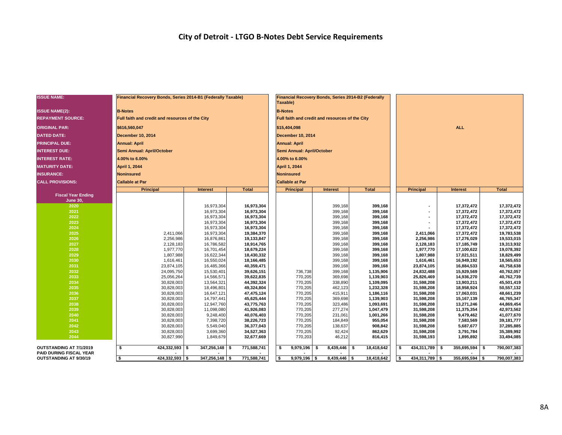### **City of Detroit - LTGO B-Notes Debt Service Requirements**

| <b>ISSUE NAME:</b>                                       | Financial Recovery Bonds, Series 2014-B1 (Federally Taxable) |                          |                          | Taxable)                   | Financial Recovery Bonds, Series 2014-B2 (Federally |                        |                          |                          |                          |  |  |
|----------------------------------------------------------|--------------------------------------------------------------|--------------------------|--------------------------|----------------------------|-----------------------------------------------------|------------------------|--------------------------|--------------------------|--------------------------|--|--|
| <b>ISSUE NAME(2):</b>                                    | <b>B-Notes</b>                                               |                          |                          | <b>B-Notes</b>             |                                                     |                        |                          |                          |                          |  |  |
| <b>REPAYMENT SOURCE:</b>                                 | Full faith and credit and resources of the City              |                          |                          |                            | Full faith and credit and resources of the City     |                        |                          |                          |                          |  |  |
| <b>ORIGINAL PAR:</b>                                     | \$616,560,047                                                |                          |                          | \$15,404,098               |                                                     |                        | <b>ALL</b>               |                          |                          |  |  |
| <b>DATED DATE:</b>                                       | <b>December 10, 2014</b>                                     |                          |                          | <b>December 10, 2014</b>   |                                                     |                        |                          |                          |                          |  |  |
| <b>PRINCIPAL DUE:</b>                                    | <b>Annual: April</b>                                         |                          |                          | <b>Annual: April</b>       |                                                     |                        |                          |                          |                          |  |  |
| <b>INTEREST DUE:</b>                                     | Semi Annual: April/October                                   |                          |                          | Semi Annual: April/October |                                                     |                        |                          |                          |                          |  |  |
| <b>INTEREST RATE:</b>                                    | 4.00% to 6.00%                                               |                          |                          | 4.00% to 6.00%             |                                                     |                        |                          |                          |                          |  |  |
| <b>MATURITY DATE:</b>                                    | April 1, 2044                                                |                          |                          | April 1, 2044              |                                                     |                        |                          |                          |                          |  |  |
| <b>INSURANCE:</b>                                        | <b>Noninsured</b>                                            |                          |                          | <b>Noninsured</b>          |                                                     |                        |                          |                          |                          |  |  |
| <b>CALL PROVISIONS:</b>                                  | <b>Callable at Par</b>                                       |                          |                          | <b>Callable at Par</b>     |                                                     |                        |                          |                          |                          |  |  |
|                                                          | <b>Principal</b>                                             | <b>Interest</b>          | <b>Total</b>             | <b>Principal</b>           | <b>Interest</b>                                     | <b>Total</b>           | Principal                | <b>Interest</b>          | <b>Total</b>             |  |  |
| <b>Fiscal Year Ending</b>                                |                                                              |                          |                          |                            |                                                     |                        |                          |                          |                          |  |  |
| June 30.<br>2020                                         |                                                              | 16,973,304               | 16,973,304               |                            | 399,168                                             | 399,168                | $\blacksquare$           | 17,372,472               | 17,372,472               |  |  |
| 2021                                                     |                                                              | 16,973,304               | 16,973,304               |                            | 399,168                                             | 399,168                |                          | 17,372,472               | 17,372,472               |  |  |
| 2022                                                     |                                                              | 16,973,304               | 16,973,304               |                            | 399,168                                             | 399,168                |                          | 17,372,472               | 17,372,472               |  |  |
| 2023                                                     |                                                              | 16,973,304               | 16,973,304               |                            | 399,168                                             | 399,168                | ٠                        | 17,372,472               | 17,372,472               |  |  |
| 2024                                                     |                                                              | 16,973,304               | 16,973,304               |                            | 399,168                                             | 399,168                |                          | 17,372,472               | 17,372,472               |  |  |
| 2025                                                     | 2,411,066                                                    | 16,973,304               | 19,384,370               |                            | 399,168                                             | 399,168                | 2,411,066                | 17,372,472               | 19,783,538               |  |  |
| 2026                                                     | 2,256,986                                                    | 16,876,861               | 19,133,847               |                            | 399,168                                             | 399,168                | 2,256,986                | 17,276,029               | 19,533,015               |  |  |
| 2027                                                     | 2,128,183                                                    | 16,786,582               | 18,914,765               |                            | 399,168                                             | 399,168                | 2,128,183                | 17,185,749               | 19,313,932               |  |  |
| 2028                                                     | 1,977,770                                                    | 16,701,454               | 18,679,224               |                            | 399,168                                             | 399,168                | 1,977,770                | 17,100,622               | 19,078,392               |  |  |
| 2029                                                     | 1,807,988                                                    | 16,622,344               | 18,430,332               |                            | 399,168                                             | 399,168                | 1,807,988                | 17,021,511               | 18,829,499               |  |  |
| 2030                                                     | 1,616,461                                                    | 16,550,024               | 18,166,485               |                            | 399,168                                             | 399,168                | 1,616,461                | 16,949,192               | 18,565,653               |  |  |
| 2031<br>2032                                             | 23,874,105                                                   | 16,485,366               | 40,359,471<br>39,626,151 |                            | 399,168                                             | 399,168                | 23,874,105<br>24,832,488 | 16,884,533<br>15,929,569 | 40,758,638<br>40,762,057 |  |  |
| 2033                                                     | 24,095,750<br>25,056,264                                     | 15,530,401<br>14,566,571 | 39,622,835               | 736,738<br>770,205         | 399,168<br>369.698                                  | 1,135,906<br>1,139,903 | 25,826,469               | 14,936,270               | 40,762,739               |  |  |
| 2034                                                     | 30,828,003                                                   | 13,564,321               | 44,392,324               | 770,205                    | 338,890                                             | 1,109,095              | 31,598,208               | 13,903,211               | 45,501,419               |  |  |
| 2035                                                     | 30,828,003                                                   | 18,496,801               | 49,324,804               | 770,205                    | 462,123                                             | 1,232,328              | 31,598,208               | 18,958,924               | 50,557,132               |  |  |
| 2036                                                     | 30,828,003                                                   | 16,647,121               | 47,475,124               | 770,205                    | 415,911                                             | 1,186,116              | 31,598,208               | 17,063,031               | 48,661,239               |  |  |
| 2037                                                     | 30,828,003                                                   | 14,797,441               | 45,625,444               | 770,205                    | 369,698                                             | 1,139,903              | 31,598,208               | 15,167,139               | 46,765,347               |  |  |
| 2038                                                     | 30,828,003                                                   | 12,947,760               | 43,775,763               | 770,205                    | 323,486                                             | 1,093,691              | 31,598,208               | 13,271,246               | 44,869,454               |  |  |
| 2039                                                     | 30,828,003                                                   | 11,098,080               | 41,926,083               | 770,205                    | 277,274                                             | 1,047,479              | 31,598,208               | 11,375,354               | 42,973,562               |  |  |
| 2040                                                     | 30,828,003                                                   | 9,248,400                | 40,076,403               | 770,205                    | 231,061                                             | 1,001,266              | 31,598,208               | 9,479,462                | 41,077,670               |  |  |
| 2041                                                     | 30,828,003                                                   | 7,398,720                | 38,226,723               | 770,205                    | 184,849                                             | 955,054                | 31,598,208               | 7,583,569                | 39, 181, 777             |  |  |
| 2042                                                     | 30,828,003                                                   | 5,549,040                | 36,377,043               | 770,205                    | 138,637                                             | 908,842                | 31,598,208               | 5,687,677                | 37,285,885               |  |  |
| 2043                                                     | 30,828,003                                                   | 3,699,360                | 34,527,363               | 770,205                    | 92,424                                              | 862,629                | 31,598,208               | 3,791,784                | 35,389,992               |  |  |
| 2044                                                     | 30,827,990                                                   | 1,849,679                | 32,677,669               | 770,203                    | 46,212                                              | 816,415                | 31,598,193               | 1,895,892                | 33,494,085               |  |  |
| OUTSTANDING AT 7/1/2019                                  | 424,332,593 \$<br>\$                                         | 347,256,148 \$           | 771,588,741              | $9,979,196$ \$<br>s.       | 8,439,446 \$                                        | 18,418,642             | 434,311,789 \$<br>Ŝ.     | $355,695,594$ \$         | 790,007,383              |  |  |
| PAID DURING FISCAL YEAR<br><b>OUTSTANDING AT 9/30/19</b> | $424,332,593$ \$<br>۱,                                       | $347,256,148$ \$         | 771,588,741              | ြ\$<br>$9,979,196$ \$      | $8,439,446$ \\$                                     | 18,418,642             | 434,311,789 \$<br>∣\$    | $355,695,594$ \$         | 790,007,383              |  |  |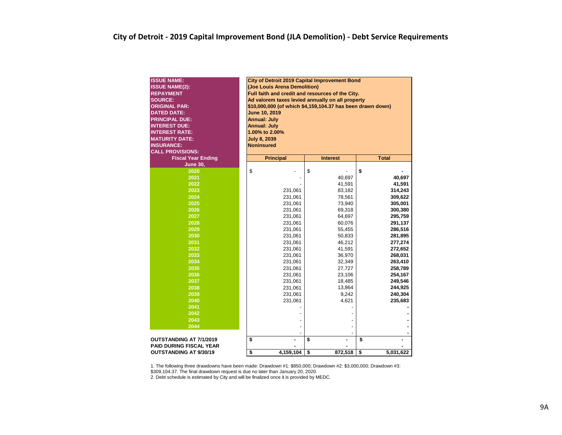| <b>ISSUE NAME:</b>             | City of Detroit 2019 Capital Improvement Bond              |                  |                 |  |  |  |  |  |  |  |  |  |  |  |
|--------------------------------|------------------------------------------------------------|------------------|-----------------|--|--|--|--|--|--|--|--|--|--|--|
| <b>ISSUE NAME(2):</b>          | (Joe Louis Arena Demolition)                               |                  |                 |  |  |  |  |  |  |  |  |  |  |  |
| <b>REPAYMENT</b>               | Full faith and credit and resources of the City.           |                  |                 |  |  |  |  |  |  |  |  |  |  |  |
| <b>SOURCE:</b>                 | Ad valorem taxes levied annually on all property           |                  |                 |  |  |  |  |  |  |  |  |  |  |  |
| <b>ORIGINAL PAR:</b>           | \$10,000,000 (of which \$4,159,104.37 has been drawn down) |                  |                 |  |  |  |  |  |  |  |  |  |  |  |
| <b>DATED DATE:</b>             | June 10, 2019                                              |                  |                 |  |  |  |  |  |  |  |  |  |  |  |
| <b>PRINCIPAL DUE:</b>          | <b>Annual: July</b>                                        |                  |                 |  |  |  |  |  |  |  |  |  |  |  |
| <b>INTEREST DUE:</b>           | <b>Annual: July</b>                                        |                  |                 |  |  |  |  |  |  |  |  |  |  |  |
| <b>INTEREST RATE:</b>          | 1.00% to 2.00%                                             |                  |                 |  |  |  |  |  |  |  |  |  |  |  |
| <b>MATURITY DATE:</b>          | <b>July 8, 2039</b>                                        |                  |                 |  |  |  |  |  |  |  |  |  |  |  |
| <b>INSURANCE:</b>              | <b>Noninsured</b>                                          |                  |                 |  |  |  |  |  |  |  |  |  |  |  |
| <b>CALL PROVISIONS:</b>        |                                                            |                  |                 |  |  |  |  |  |  |  |  |  |  |  |
| <b>Fiscal Year Ending</b>      | <b>Principal</b>                                           | <b>Interest</b>  | <b>Total</b>    |  |  |  |  |  |  |  |  |  |  |  |
| <b>June 30,</b>                |                                                            |                  |                 |  |  |  |  |  |  |  |  |  |  |  |
| 2020                           | \$                                                         | \$               | \$              |  |  |  |  |  |  |  |  |  |  |  |
| 2021                           |                                                            | 40,697           | 40,697          |  |  |  |  |  |  |  |  |  |  |  |
| 2022                           |                                                            | 41,591           | 41,591          |  |  |  |  |  |  |  |  |  |  |  |
| 2023                           | 231,061                                                    | 83,182           | 314,243         |  |  |  |  |  |  |  |  |  |  |  |
| 2024                           | 231,061                                                    | 78,561           | 309,622         |  |  |  |  |  |  |  |  |  |  |  |
| 2025                           | 231,061                                                    | 73,940<br>69,318 | 305,001         |  |  |  |  |  |  |  |  |  |  |  |
| 2026                           | 231,061                                                    | 300,380          |                 |  |  |  |  |  |  |  |  |  |  |  |
| 2027                           | 231,061                                                    | 64,697           | 295,759         |  |  |  |  |  |  |  |  |  |  |  |
| 2028                           | 231,061                                                    | 60,076           | 291,137         |  |  |  |  |  |  |  |  |  |  |  |
| 2029                           | 231,061                                                    | 55,455           | 286,516         |  |  |  |  |  |  |  |  |  |  |  |
| 2030                           | 231,061                                                    | 50,833           | 281,895         |  |  |  |  |  |  |  |  |  |  |  |
| 2031                           | 231,061                                                    | 46,212           | 277,274         |  |  |  |  |  |  |  |  |  |  |  |
| 2032                           | 231,061                                                    | 41,591           | 272,652         |  |  |  |  |  |  |  |  |  |  |  |
| 2033                           | 231,061                                                    | 36,970           | 268,031         |  |  |  |  |  |  |  |  |  |  |  |
| 2034                           | 231,061                                                    | 32,349           | 263,410         |  |  |  |  |  |  |  |  |  |  |  |
| 2035                           | 231,061                                                    | 27,727           | 258,789         |  |  |  |  |  |  |  |  |  |  |  |
| 2036                           | 231,061                                                    | 23,106           | 254,167         |  |  |  |  |  |  |  |  |  |  |  |
| 2037                           | 231,061                                                    | 18,485           | 249,546         |  |  |  |  |  |  |  |  |  |  |  |
| 2038                           | 231,061                                                    | 13,864           | 244,925         |  |  |  |  |  |  |  |  |  |  |  |
| 2039                           | 231,061                                                    | 9,242            | 240,304         |  |  |  |  |  |  |  |  |  |  |  |
| 2040                           | 231,061                                                    | 4,621            | 235,683         |  |  |  |  |  |  |  |  |  |  |  |
| 2041                           |                                                            |                  |                 |  |  |  |  |  |  |  |  |  |  |  |
| 2042                           |                                                            |                  |                 |  |  |  |  |  |  |  |  |  |  |  |
| 2043                           |                                                            |                  |                 |  |  |  |  |  |  |  |  |  |  |  |
| 2044                           |                                                            |                  |                 |  |  |  |  |  |  |  |  |  |  |  |
|                                |                                                            |                  |                 |  |  |  |  |  |  |  |  |  |  |  |
| <b>OUTSTANDING AT 7/1/2019</b> | \$                                                         | \$               | \$              |  |  |  |  |  |  |  |  |  |  |  |
| <b>PAID DURING FISCAL YEAR</b> |                                                            |                  |                 |  |  |  |  |  |  |  |  |  |  |  |
| <b>OUTSTANDING AT 9/30/19</b>  | \$<br>4,159,104                                            | \$<br>872,518    | \$<br>5,031,622 |  |  |  |  |  |  |  |  |  |  |  |

1. The following three drawdowns have been made: Drawdown #1: \$850,000; Drawdown #2: \$3,000,000; Drawdown #3: \$309,104.37. The final drawdown request is due no later than January 20, 2020.

2. Debt schedule is estimated by City and will be finalized once it is provided by MEDC.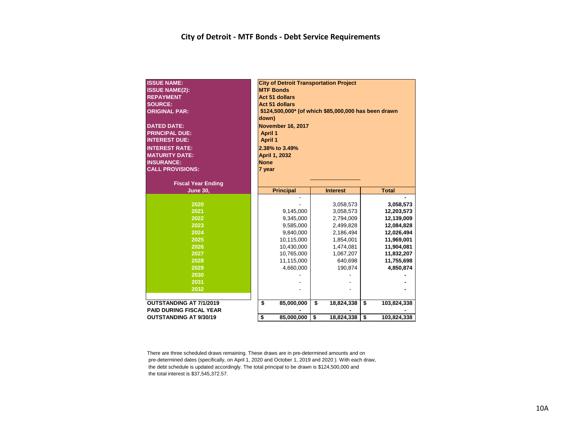| <b>ISSUE NAME:</b><br><b>ISSUE NAME(2):</b><br><b>REPAYMENT</b><br><b>SOURCE:</b><br><b>ORIGINAL PAR:</b><br><b>DATED DATE:</b><br><b>PRINCIPAL DUE:</b><br><b>INTEREST DUE:</b><br><b>INTEREST RATE:</b><br><b>MATURITY DATE:</b><br><b>INSURANCE:</b><br><b>CALL PROVISIONS:</b><br><b>Fiscal Year Ending</b> | <b>City of Detroit Transportation Project</b><br><b>MTF Bonds</b><br><b>Act 51 dollars</b><br>Act 51 dollars<br>\$124,500,000* (of which \$85,000,000 has been drawn<br>down)<br><b>November 16, 2017</b><br><b>April 1</b><br><b>April 1</b><br>2.38% to 3.49%<br>April 1, 2032<br><b>None</b><br>7 year |                                                                                                                       |          |                                                                                                                            |          |                                                                                                                                        |  |  |  |  |
|-----------------------------------------------------------------------------------------------------------------------------------------------------------------------------------------------------------------------------------------------------------------------------------------------------------------|-----------------------------------------------------------------------------------------------------------------------------------------------------------------------------------------------------------------------------------------------------------------------------------------------------------|-----------------------------------------------------------------------------------------------------------------------|----------|----------------------------------------------------------------------------------------------------------------------------|----------|----------------------------------------------------------------------------------------------------------------------------------------|--|--|--|--|
| <b>June 30,</b>                                                                                                                                                                                                                                                                                                 |                                                                                                                                                                                                                                                                                                           | <b>Principal</b>                                                                                                      |          | <b>Interest</b>                                                                                                            |          | <b>Total</b>                                                                                                                           |  |  |  |  |
| 2020<br>2021<br>2022<br>2023<br>2024<br>2025<br>2026<br>2027<br>2028<br>2029<br>2030<br>2031<br>2032                                                                                                                                                                                                            |                                                                                                                                                                                                                                                                                                           | 9,145,000<br>9,345,000<br>9,585,000<br>9,840,000<br>10,115,000<br>10,430,000<br>10,765,000<br>11,115,000<br>4,660,000 |          | 3,058,573<br>3,058,573<br>2,794,009<br>2,499,828<br>2,186,494<br>1,854,001<br>1,474,081<br>1,067,207<br>640,698<br>190,874 |          | 3,058,573<br>12,203,573<br>12,139,009<br>12,084,828<br>12,026,494<br>11,969,001<br>11,904,081<br>11,832,207<br>11,755,698<br>4,850,874 |  |  |  |  |
| <b>OUTSTANDING AT 7/1/2019</b><br><b>PAID DURING FISCAL YEAR</b><br><b>OUTSTANDING AT 9/30/19</b>                                                                                                                                                                                                               | \$<br>\$                                                                                                                                                                                                                                                                                                  | 85,000,000<br>85,000,000                                                                                              | \$<br>\$ | 18,824,338<br>18,824,338                                                                                                   | \$<br>\$ | 103,824,338<br>103,824,338                                                                                                             |  |  |  |  |

There are three scheduled draws remaining. These draws are in pre-determined amounts and on pre-determined dates (specifically, on April 1, 2020 and October 1, 2019 and 2020 ). With each draw, the debt schedule is updated accordingly. The total principal to be drawn is \$124,500,000 and the total interest is \$37,545,372.57.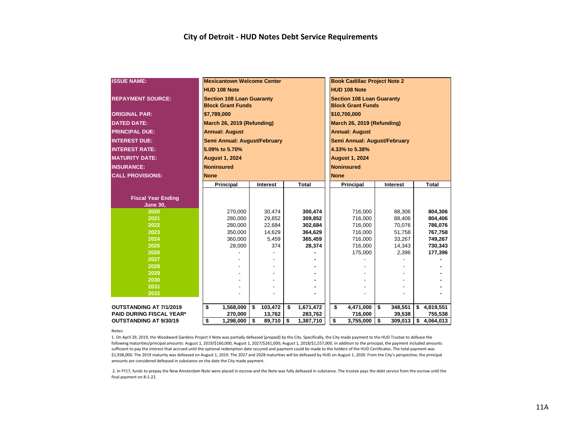| <b>ISSUE NAME:</b>              |             | <b>Mexicantown Welcome Center</b>                            |               |                 |                                                              | <b>Book Cadillac Project Note 2</b> |    |          |    |           |  |  |  |  |
|---------------------------------|-------------|--------------------------------------------------------------|---------------|-----------------|--------------------------------------------------------------|-------------------------------------|----|----------|----|-----------|--|--|--|--|
|                                 |             | <b>HUD 108 Note</b>                                          |               |                 |                                                              | <b>HUD 108 Note</b>                 |    |          |    |           |  |  |  |  |
| <b>REPAYMENT SOURCE:</b>        |             | <b>Section 108 Loan Guaranty</b><br><b>Block Grant Funds</b> |               |                 | <b>Section 108 Loan Guaranty</b><br><b>Block Grant Funds</b> |                                     |    |          |    |           |  |  |  |  |
| <b>ORIGINAL PAR:</b>            |             | \$7,789,000                                                  |               |                 | \$10,700,000                                                 |                                     |    |          |    |           |  |  |  |  |
| <b>DATED DATE:</b>              |             | March 26, 2019 (Refunding)                                   |               |                 | March 26, 2019 (Refunding)                                   |                                     |    |          |    |           |  |  |  |  |
| <b>PRINCIPAL DUE:</b>           |             | <b>Annual: August</b>                                        |               |                 | <b>Annual: August</b>                                        |                                     |    |          |    |           |  |  |  |  |
| <b>INTEREST DUE:</b>            |             | Semi Annual: August/February                                 |               |                 |                                                              | Semi Annual: August/February        |    |          |    |           |  |  |  |  |
| <b>INTEREST RATE:</b>           |             | 5.09% to 5.70%                                               |               |                 |                                                              | 4.33% to 5.38%                      |    |          |    |           |  |  |  |  |
| <b>MATURITY DATE:</b>           |             | <b>August 1, 2024</b>                                        |               |                 |                                                              | <b>August 1, 2024</b>               |    |          |    |           |  |  |  |  |
| <b>INSURANCE:</b>               |             | <b>Noninsured</b>                                            |               |                 |                                                              | <b>Noninsured</b>                   |    |          |    |           |  |  |  |  |
| <b>CALL PROVISIONS:</b>         | <b>None</b> |                                                              |               |                 |                                                              | <b>None</b>                         |    |          |    |           |  |  |  |  |
|                                 |             |                                                              |               |                 |                                                              |                                     |    |          |    |           |  |  |  |  |
|                                 |             | Principal                                                    | Interest      | Total           |                                                              | Principal                           |    | Interest |    | Total     |  |  |  |  |
| <b>Fiscal Year Ending</b>       |             |                                                              |               |                 |                                                              |                                     |    |          |    |           |  |  |  |  |
| <b>June 30,</b>                 |             |                                                              |               |                 |                                                              |                                     |    |          |    |           |  |  |  |  |
| 2020                            |             | 270,000                                                      | 30,474        | 300,474         |                                                              | 716,000                             |    | 88,306   |    | 804,306   |  |  |  |  |
| 2021                            |             | 280,000                                                      | 29,852        | 309,852         |                                                              | 716,000                             |    | 88,406   |    | 804,406   |  |  |  |  |
| 2022                            |             | 280,000                                                      | 22,684        | 302,684         |                                                              | 716,000                             |    | 70,076   |    | 786,076   |  |  |  |  |
| 2023                            |             | 350,000                                                      | 14,629        | 364,629         |                                                              | 716,000                             |    | 51,758   |    | 767,758   |  |  |  |  |
| 2024                            |             | 360,000                                                      | 5,459         | 365,459         |                                                              | 716,000                             |    | 33,267   |    | 749,267   |  |  |  |  |
| 2025                            |             | 28,000                                                       | 374           | 28,374          |                                                              | 716,000                             |    | 14,343   |    | 730,343   |  |  |  |  |
| 2026                            |             |                                                              |               |                 |                                                              | 175,000                             |    | 2,396    |    | 177,396   |  |  |  |  |
| 2027                            |             |                                                              |               |                 |                                                              |                                     |    |          |    |           |  |  |  |  |
| 2028                            |             |                                                              |               |                 |                                                              |                                     |    |          |    |           |  |  |  |  |
| 2029                            |             |                                                              |               |                 |                                                              |                                     |    |          |    |           |  |  |  |  |
| 2030                            |             |                                                              |               |                 |                                                              |                                     |    |          |    |           |  |  |  |  |
| 2031<br>2032                    |             |                                                              |               |                 |                                                              |                                     |    |          |    |           |  |  |  |  |
|                                 |             |                                                              |               |                 |                                                              |                                     |    |          |    |           |  |  |  |  |
| OUTSTANDING AT 7/1/2019         | \$          | 1,568,000                                                    | \$<br>103,472 | \$<br>1,671,472 |                                                              | \$<br>4,471,000                     | \$ | 348,551  | \$ | 4,819,551 |  |  |  |  |
| <b>PAID DURING FISCAL YEAR*</b> |             | 270,000                                                      | 13,762        | 283,762         |                                                              | 716,000                             |    | 39,538   |    | 755,538   |  |  |  |  |
| <b>OUTSTANDING AT 9/30/19</b>   | \$          | 1,298,000                                                    | \$<br>89,710  | \$<br>1,387,710 |                                                              | \$<br>3,755,000                     | \$ | 309,013  | \$ | 4,064,013 |  |  |  |  |

Notes:

1. On April 29, 2019, the Woodward Gardens Project II Note was partially defeased (prepaid) by the City. Specifically, the City made payment to the HUD Trustee to defease the following maturities/principal amounts: August 1, 2019/\$160,000; August 1, 2027/\$261,000; August 1, 2018/\$1,557,000. In addition to the principal, the payment included amounts sufficient to pay the interest that accrued until the optional redemption date occured and payment could be made to the holders of the HUD Certificates. The total payment was \$1,938,000. The 2019 maturity was defeased on August 1, 2019. The 2027 and 2028 maturities will be defeased by HUD on August 1, 2020. From the City's perspective, the principal amounts are considered defeased in substance on the date the City made payment.

 2. In FY17, funds to prepay the New Amsterdam Note were placed in escrow and the Note was fully defeased in substance. The trustee pays the debt service from the escrow until the final payment on 8-1-22.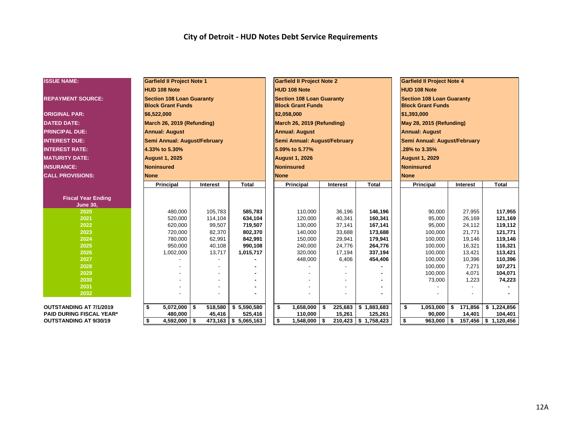### **City of Detroit - HUD Notes Debt Service Requirements**

| <b>ISSUE NAME:</b>              | <b>Garfield II Project Note 1</b>                            |          |              | <b>Garfield II Project Note 2</b>                            |    |                 |              |                                                              | <b>Garfield II Project Note 4</b> |                 |                            |  |  |  |
|---------------------------------|--------------------------------------------------------------|----------|--------------|--------------------------------------------------------------|----|-----------------|--------------|--------------------------------------------------------------|-----------------------------------|-----------------|----------------------------|--|--|--|
|                                 | <b>HUD 108 Note</b>                                          |          |              | <b>HUD 108 Note</b>                                          |    |                 |              |                                                              | <b>HUD 108 Note</b>               |                 |                            |  |  |  |
| <b>REPAYMENT SOURCE:</b>        | <b>Section 108 Loan Guaranty</b><br><b>Block Grant Funds</b> |          |              | <b>Section 108 Loan Guaranty</b><br><b>Block Grant Funds</b> |    |                 |              | <b>Section 108 Loan Guaranty</b><br><b>Block Grant Funds</b> |                                   |                 |                            |  |  |  |
| <b>ORIGINAL PAR:</b>            | \$6,522,000                                                  |          |              | \$2,058,000                                                  |    |                 |              | \$1,393,000                                                  |                                   |                 |                            |  |  |  |
| <b>DATED DATE:</b>              | March 26, 2019 (Refunding)                                   |          |              | March 26, 2019 (Refunding)                                   |    |                 |              | May 28, 2015 (Refunding)                                     |                                   |                 |                            |  |  |  |
| <b>PRINCIPAL DUE:</b>           | <b>Annual: August</b>                                        |          |              | <b>Annual: August</b>                                        |    |                 |              | <b>Annual: August</b>                                        |                                   |                 |                            |  |  |  |
| <b>INTEREST DUE:</b>            | Semi Annual: August/February                                 |          |              | Semi Annual: August/February                                 |    |                 |              |                                                              | Semi Annual: August/February      |                 |                            |  |  |  |
| <b>INTEREST RATE:</b>           | 4.33% to 5.30%                                               |          |              | 5.09% to 5.77%                                               |    |                 |              |                                                              | .28% to 3.35%                     |                 |                            |  |  |  |
| <b>MATURITY DATE:</b>           | <b>August 1, 2025</b>                                        |          |              | <b>August 1, 2026</b>                                        |    |                 |              |                                                              | <b>August 1, 2029</b>             |                 |                            |  |  |  |
| <b>INSURANCE:</b>               | Noninsured                                                   |          |              | <b>Noninsured</b>                                            |    |                 |              |                                                              | <b>Noninsured</b>                 |                 |                            |  |  |  |
| <b>CALL PROVISIONS:</b>         | <b>None</b>                                                  |          |              | <b>None</b>                                                  |    |                 |              |                                                              | <b>None</b>                       |                 |                            |  |  |  |
|                                 | Principal                                                    | Interest | <b>Total</b> | <b>Principal</b>                                             |    | <b>Interest</b> | <b>Total</b> |                                                              | <b>Principal</b>                  | <b>Interest</b> | <b>Total</b>               |  |  |  |
|                                 |                                                              |          |              |                                                              |    |                 |              |                                                              |                                   |                 |                            |  |  |  |
| <b>Fiscal Year Ending</b>       |                                                              |          |              |                                                              |    |                 |              |                                                              |                                   |                 |                            |  |  |  |
| <b>June 30,</b>                 |                                                              |          |              |                                                              |    |                 |              |                                                              |                                   |                 |                            |  |  |  |
| 2020                            | 480,000                                                      | 105,783  | 585,783      | 110.000                                                      |    | 36,196          | 146,196      |                                                              | 90.000                            | 27,955          | 117,955                    |  |  |  |
| 2021                            | 520,000                                                      | 114,104  | 634,104      | 120,000                                                      |    | 40,341          | 160,341      |                                                              | 95,000                            | 26,169          | 121,169                    |  |  |  |
| 2022                            | 620,000                                                      | 99,507   | 719,507      | 130,000                                                      |    | 37,141          | 167,141      |                                                              | 95,000                            | 24,112          | 119,112                    |  |  |  |
| 2023                            | 720,000                                                      | 82,370   | 802,370      | 140,000                                                      |    | 33,688          | 173,688      |                                                              | 100,000                           | 21,771          | 121,771                    |  |  |  |
| 2024                            | 780,000                                                      | 62,991   | 842,991      | 150,000                                                      |    | 29,941          | 179,941      |                                                              | 100,000                           | 19,146          | 119,146                    |  |  |  |
| 2025                            | 950,000                                                      | 40,108   | 990,108      | 240,000                                                      |    | 24,776          | 264,776      |                                                              | 100,000                           | 16,321          | 116,321                    |  |  |  |
| 2026                            | 1,002,000                                                    | 13,717   | 1,015,717    | 320,000                                                      |    | 17,194          | 337,194      |                                                              | 100,000                           | 13,421          | 113,421                    |  |  |  |
| 2027                            |                                                              |          |              | 448,000                                                      |    | 6,406           | 454,406      |                                                              | 100,000                           | 10,396          | 110,396                    |  |  |  |
| 2028                            |                                                              |          |              |                                                              |    |                 |              |                                                              | 100,000                           | 7,271           | 107,271                    |  |  |  |
| 2029                            |                                                              |          |              |                                                              |    |                 |              |                                                              | 100,000                           | 4,071           | 104,071                    |  |  |  |
| 2030                            |                                                              |          |              |                                                              |    |                 |              |                                                              | 73,000                            | 1,223           | 74,223                     |  |  |  |
| 2031                            |                                                              |          |              |                                                              |    |                 |              |                                                              |                                   |                 |                            |  |  |  |
| 2032                            |                                                              |          |              |                                                              |    |                 |              |                                                              |                                   |                 |                            |  |  |  |
| <b>OUTSTANDING AT 7/1/2019</b>  | \$<br>$5,072,000$ \ \$                                       | 518,580  | \$5,590,580  | \$<br>1,658,000                                              | Ŝ. | 225,683         | \$1,883,683  |                                                              | \$<br>1,053,000                   | 171,856<br>\$   | \$1,224,856                |  |  |  |
| <b>PAID DURING FISCAL YEAR*</b> | 480,000                                                      | 45,416   | 525,416      | 110,000                                                      |    | 15,261          | 125,261      |                                                              | 90,000                            | 14,401          | 104,401                    |  |  |  |
| <b>OUTSTANDING AT 9/30/19</b>   | $4,592,000$ \$<br>\$                                         | 473,163  | \$5,065,163  | \$<br>1,548,000                                              | \$ | 210,423         | \$1,758,423  |                                                              | \$<br>$963,000$ \$                | 157,456         | $\frac{1}{2}$ \$ 1,120,456 |  |  |  |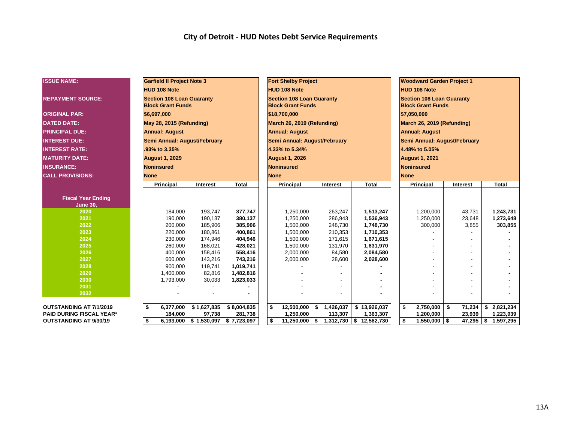### **City of Detroit - HUD Notes Debt Service Requirements**

| <b>ISSUE NAME:</b>              | <b>Garfield II Project Note 3</b>                            |                                       |                        | <b>Fort Shelby Project</b>                                   |                 |              |                                                              | <b>Woodward Garden Project 1</b> |      |                    |    |              |  |  |
|---------------------------------|--------------------------------------------------------------|---------------------------------------|------------------------|--------------------------------------------------------------|-----------------|--------------|--------------------------------------------------------------|----------------------------------|------|--------------------|----|--------------|--|--|
|                                 | <b>HUD 108 Note</b>                                          |                                       |                        | <b>HUD 108 Note</b>                                          |                 |              |                                                              | <b>HUD 108 Note</b>              |      |                    |    |              |  |  |
| <b>REPAYMENT SOURCE:</b>        | <b>Section 108 Loan Guaranty</b><br><b>Block Grant Funds</b> |                                       |                        | <b>Section 108 Loan Guaranty</b><br><b>Block Grant Funds</b> |                 |              | <b>Section 108 Loan Guaranty</b><br><b>Block Grant Funds</b> |                                  |      |                    |    |              |  |  |
| <b>ORIGINAL PAR:</b>            | \$6,697,000                                                  |                                       |                        | \$18,700,000                                                 |                 |              | \$7,050,000                                                  |                                  |      |                    |    |              |  |  |
| <b>DATED DATE:</b>              | May 28, 2015 (Refunding)                                     |                                       |                        | March 26, 2019 (Refunding)                                   |                 |              | March 26, 2019 (Refunding)                                   |                                  |      |                    |    |              |  |  |
| <b>PRINCIPAL DUE:</b>           | <b>Annual: August</b>                                        |                                       |                        | <b>Annual: August</b>                                        |                 |              | <b>Annual: August</b>                                        |                                  |      |                    |    |              |  |  |
| <b>INTEREST DUE:</b>            | Semi Annual: August/February                                 |                                       |                        | Semi Annual: August/February                                 |                 |              |                                                              | Semi Annual: August/February     |      |                    |    |              |  |  |
| <b>INTEREST RATE:</b>           | .93% to 3.35%                                                |                                       |                        | 4.33% to 5.34%                                               |                 |              |                                                              | 4.48% to 5.05%                   |      |                    |    |              |  |  |
| <b>IMATURITY DATE:</b>          | <b>August 1, 2029</b>                                        |                                       |                        | <b>August 1, 2026</b>                                        |                 |              |                                                              | <b>August 1, 2021</b>            |      |                    |    |              |  |  |
| <b>INSURANCE:</b>               | Noninsured                                                   |                                       |                        | <b>Noninsured</b>                                            |                 |              |                                                              | <b>Noninsured</b>                |      |                    |    |              |  |  |
| <b>CALL PROVISIONS:</b>         | <b>None</b>                                                  |                                       |                        | <b>None</b>                                                  |                 |              |                                                              | <b>None</b>                      |      |                    |    |              |  |  |
|                                 | Principal                                                    | Interest                              | <b>Total</b>           | <b>Principal</b>                                             | <b>Interest</b> | <b>Total</b> |                                                              | <b>Principal</b>                 |      | <b>Interest</b>    |    | <b>Total</b> |  |  |
| <b>Fiscal Year Ending</b>       |                                                              |                                       |                        |                                                              |                 |              |                                                              |                                  |      |                    |    |              |  |  |
| <b>June 30,</b><br>2020         | 184,000                                                      | 193,747                               | 377,747                | 1,250,000                                                    | 263,247         | 1,513,247    |                                                              | 1,200,000                        |      | 43,731             |    | 1,243,731    |  |  |
| 2021                            | 190,000                                                      | 190,137                               | 380,137                | 1,250,000                                                    | 286,943         | 1,536,943    |                                                              | 1,250,000                        |      | 23,648             |    | 1,273,648    |  |  |
| 2022                            | 200,000                                                      | 185,906                               | 385,906                | 1,500,000                                                    | 248,730         | 1,748,730    |                                                              | 300,000                          |      | 3,855              |    | 303,855      |  |  |
| 2023                            | 220,000                                                      | 180,861                               | 400,861                | 1,500,000                                                    | 210,353         | 1,710,353    |                                                              |                                  |      |                    |    |              |  |  |
| 2024                            | 230,000                                                      | 174,946                               | 404,946                | 1,500,000                                                    | 171,615         | 1,671,615    |                                                              |                                  |      |                    |    |              |  |  |
| 2025                            | 260,000                                                      | 168,021                               | 428,021                | 1,500,000                                                    | 131,970         | 1,631,970    |                                                              |                                  |      |                    |    |              |  |  |
| 2026                            | 400,000                                                      | 158,416                               | 558,416                | 2,000,000                                                    | 84,580          | 2,084,580    |                                                              |                                  |      |                    |    |              |  |  |
| 2027                            | 600,000                                                      | 143,216                               | 743,216                | 2,000,000                                                    | 28,600          | 2,028,600    |                                                              |                                  |      |                    |    |              |  |  |
| 2028<br>2029                    | 900,000<br>1,400,000                                         | 119,741<br>82,816                     | 1,019,741              |                                                              |                 |              |                                                              |                                  |      |                    |    |              |  |  |
| 2030                            | 1,793,000                                                    | 30,033                                | 1,482,816<br>1,823,033 |                                                              |                 |              |                                                              |                                  |      |                    |    |              |  |  |
| 2031                            |                                                              |                                       |                        |                                                              |                 |              |                                                              |                                  |      |                    |    |              |  |  |
| 2032                            |                                                              |                                       |                        |                                                              |                 |              |                                                              |                                  |      |                    |    |              |  |  |
|                                 |                                                              |                                       |                        |                                                              |                 |              |                                                              |                                  |      |                    |    |              |  |  |
| <b>OUTSTANDING AT 7/1/2019</b>  | S.<br>6,377,000                                              | \$1,627,835                           | \$8,004,835            | \$<br>12,500,000                                             | \$<br>1,426,037 | \$13,926,037 |                                                              | 2,750,000<br>\$                  | - \$ | 71,234             | \$ | 2,821,234    |  |  |
| <b>PAID DURING FISCAL YEAR*</b> | 184,000                                                      | 97,738                                | 281,738                | 1,250,000                                                    | 113,307         | 1,363,307    |                                                              | 1,200,000                        |      | 23,939             |    | 1,223,939    |  |  |
| <b>OUTSTANDING AT 9/30/19</b>   | \$                                                           | $6,193,000$ \$ 1,530,097 \$ 7,723,097 |                        | \$<br>$11,250,000$ \ \$                                      | 1,312,730       | \$12,562,730 |                                                              | \$<br>$1,550,000$ \ \$           |      | $\sqrt{47,295}$ \$ |    | 1,597,295    |  |  |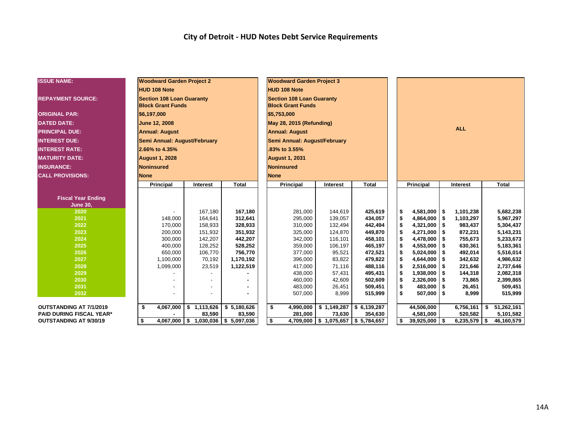### **City of Detroit - HUD Notes Debt Service Requirements**

| <b>ISSUE NAME:</b>              | <b>Woodward Garden Project 2</b>                             |                                       |              | <b>Woodward Garden Project 3</b>                             |                                     |              |            |                        |          |                |    |              |  |
|---------------------------------|--------------------------------------------------------------|---------------------------------------|--------------|--------------------------------------------------------------|-------------------------------------|--------------|------------|------------------------|----------|----------------|----|--------------|--|
|                                 | <b>HUD 108 Note</b>                                          |                                       |              | <b>HUD 108 Note</b>                                          |                                     |              |            |                        |          |                |    |              |  |
| <b>REPAYMENT SOURCE:</b>        | <b>Section 108 Loan Guaranty</b><br><b>Block Grant Funds</b> |                                       |              | <b>Section 108 Loan Guaranty</b><br><b>Block Grant Funds</b> |                                     |              |            |                        |          |                |    |              |  |
| <b>ORIGINAL PAR:</b>            | \$6,197,000                                                  |                                       |              | \$5,753,000                                                  |                                     |              |            |                        |          |                |    |              |  |
| <b>DATED DATE:</b>              | June 12, 2008                                                |                                       |              | May 28, 2015 (Refunding)                                     |                                     |              |            |                        |          |                |    |              |  |
| <b>PRINCIPAL DUE:</b>           | <b>Annual: August</b>                                        |                                       |              | <b>Annual: August</b>                                        |                                     |              | <b>ALL</b> |                        |          |                |    |              |  |
| <b>INTEREST DUE:</b>            | Semi Annual: August/February                                 |                                       |              | Semi Annual: August/February                                 |                                     |              |            |                        |          |                |    |              |  |
| <b>INTEREST RATE:</b>           | 2.66% to 4.35%                                               |                                       |              | 83% to 3.55%                                                 |                                     |              |            |                        |          |                |    |              |  |
| <b>MATURITY DATE:</b>           | <b>August 1, 2028</b>                                        |                                       |              | <b>August 1, 2031</b>                                        |                                     |              |            |                        |          |                |    |              |  |
| <b>INSURANCE:</b>               | <b>Noninsured</b>                                            |                                       |              | <b>Noninsured</b>                                            |                                     |              |            |                        |          |                |    |              |  |
| <b>CALL PROVISIONS:</b>         | <b>None</b>                                                  |                                       |              | <b>None</b>                                                  |                                     |              |            |                        |          |                |    |              |  |
|                                 | Principal                                                    | <b>Interest</b>                       | <b>Total</b> | Principal                                                    | <b>Interest</b>                     | <b>Total</b> |            | <b>Principal</b>       | Interest |                |    | <b>Total</b> |  |
|                                 |                                                              |                                       |              |                                                              |                                     |              |            |                        |          |                |    |              |  |
| <b>Fiscal Year Ending</b>       |                                                              |                                       |              |                                                              |                                     |              |            |                        |          |                |    |              |  |
| <b>June 30,</b>                 |                                                              |                                       |              |                                                              |                                     |              |            |                        |          |                |    |              |  |
| 2020                            |                                                              | 167,180                               | 167,180      | 281,000                                                      | 144,619                             | 425,619      |            | $4,581,000$ \ \$<br>\$ |          | 1,101,238      |    | 5,682,238    |  |
| 2021                            | 148,000                                                      | 164,641                               | 312,641      | 295,000                                                      | 139,057                             | 434,057      |            | \$<br>$4,864,000$ \$   |          | 1,103,297      |    | 5,967,297    |  |
| 2022                            | 170,000                                                      | 158,933                               | 328,933      | 310,000                                                      | 132,494                             | 442,494      |            | \$<br>$4,321,000$ \$   |          | 983,437        |    | 5,304,437    |  |
| 2023                            | 200,000                                                      | 151,932                               | 351,932      | 325,000                                                      | 124,870                             | 449,870      |            | \$<br>$4,271,000$ \$   |          | 872,231        |    | 5,143,231    |  |
| 2024                            | 300,000                                                      | 142,207                               | 442,207      | 342,000                                                      | 116,101                             | 458,101      |            | \$<br>$4,478,000$ \$   |          | 755,673        |    | 5,233,673    |  |
| 2025                            | 400,000                                                      | 128,252                               | 528,252      | 359,000                                                      | 106,197                             | 465,197      |            | \$<br>$4,553,000$ \$   |          | 630,361        |    | 5,183,361    |  |
| 2026                            | 650,000                                                      | 106,770                               | 756,770      | 377,000                                                      | 95,521                              | 472,521      |            | $5,024,000$ \$<br>\$   |          | 492,014        |    | 5,516,014    |  |
| 2027                            | 1,100,000                                                    | 70,192                                | 1,170,192    | 396,000                                                      | 83,822                              | 479,822      |            | \$<br>$4,644,000$ \$   |          | 342,632        |    | 4,986,632    |  |
| 2028                            | 1,099,000                                                    | 23,519                                | 1,122,519    | 417,000                                                      | 71,116                              | 488,116      |            | S.<br>2,516,000        | l \$     | 221,646        |    | 2,737,646    |  |
| 2029                            |                                                              |                                       |              | 438,000                                                      | 57,431                              | 495,431      |            | \$<br>1,938,000        | l \$     | 144,318        |    | 2,082,318    |  |
| 2030                            |                                                              |                                       |              | 460,000                                                      | 42,609                              | 502,609      |            | \$<br>2,326,000        | l \$     | 73,865         |    | 2,399,865    |  |
| 2031                            |                                                              |                                       |              | 483,000                                                      | 26,451                              | 509,451      |            | \$<br>483,000          | l \$     | 26,451         |    | 509,451      |  |
| 2032                            |                                                              |                                       |              | 507,000                                                      | 8,999                               | 515,999      |            | \$<br>$507,000$ \$     |          | 8,999          |    | 515,999      |  |
| <b>OUTSTANDING AT 7/1/2019</b>  | \$<br>4,067,000                                              | \$1,113,626                           | \$5,180,626  | \$<br>4,990,000                                              | \$1,149,287                         | \$6,139,287  |            | 44,506,000             |          | 6,756,161      | \$ | 51,262,161   |  |
| <b>PAID DURING FISCAL YEAR*</b> |                                                              | 83,590                                | 83,590       | 281,000                                                      | 73,630                              | 354,630      |            | 4,581,000              |          | 520,582        |    | 5,101,582    |  |
| <b>OUTSTANDING AT 9/30/19</b>   | -\$                                                          | $4,067,000$ \$ 1,030,036 \$ 5,097,036 |              | \$                                                           | 4,709,000 \$ 1,075,657 \$ 5,784,657 |              |            | Ŝ.<br>$39,925,000$ \$  |          | $6,235,579$ \$ |    | 46,160,579   |  |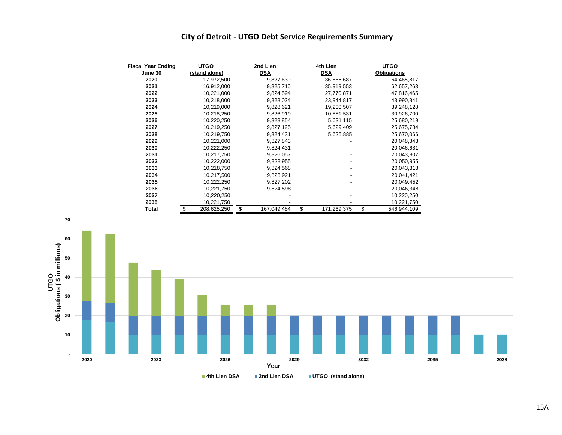### **City of Detroit - UTGO Debt Service Requirements Summary**

| <b>Fiscal Year Ending</b> | <b>UTGO</b>       | 2nd Lien          | 4th Lien          | <b>UTGO</b>        |  |  |  |  |
|---------------------------|-------------------|-------------------|-------------------|--------------------|--|--|--|--|
| June 30                   | (stand alone)     | <b>DSA</b>        | <b>DSA</b>        | <b>Obligations</b> |  |  |  |  |
| 2020                      | 17,972,500        | 9,827,630         | 36,665,687        | 64,465,817         |  |  |  |  |
| 2021                      | 16,912,000        | 9,825,710         | 35,919,553        | 62,657,263         |  |  |  |  |
| 2022                      | 10,221,000        | 9,824,594         | 27,770,871        | 47,816,465         |  |  |  |  |
| 2023                      | 10,218,000        | 9,828,024         | 23,944,817        | 43,990,841         |  |  |  |  |
| 2024                      | 10,219,000        | 9,828,621         | 19,200,507        | 39,248,128         |  |  |  |  |
| 2025                      | 10,218,250        | 9,826,919         | 10,881,531        | 30,926,700         |  |  |  |  |
| 2026                      | 10,220,250        | 9,828,854         | 5,631,115         | 25,680,219         |  |  |  |  |
| 2027                      | 10,219,250        | 9,827,125         | 5,629,409         | 25,675,784         |  |  |  |  |
| 2028                      | 10,219,750        | 9,824,431         | 5,625,885         | 25,670,066         |  |  |  |  |
| 2029                      | 10,221,000        | 9,827,843         |                   | 20,048,843         |  |  |  |  |
| 2030                      | 10,222,250        | 9,824,431         |                   | 20,046,681         |  |  |  |  |
| 2031                      | 10,217,750        | 9,826,057         |                   | 20,043,807         |  |  |  |  |
| 3032                      | 10,222,000        | 9,828,955         |                   | 20,050,955         |  |  |  |  |
| 3033                      | 10,218,750        | 9,824,568         |                   | 20,043,318         |  |  |  |  |
| 2034                      | 10,217,500        | 9,823,921         |                   | 20,041,421         |  |  |  |  |
| 2035                      | 10,222,250        | 9,827,202         |                   | 20,049,452         |  |  |  |  |
| 2036                      | 10,221,750        | 9,824,598         |                   | 20,046,348         |  |  |  |  |
| 2037                      | 10,220,250        |                   |                   | 10,220,250         |  |  |  |  |
| 2038                      | 10,221,750        |                   |                   | 10,221,750         |  |  |  |  |
| <b>Total</b>              | \$<br>208,625,250 | \$<br>167,049,484 | \$<br>171,269,375 | \$<br>546,944,109  |  |  |  |  |